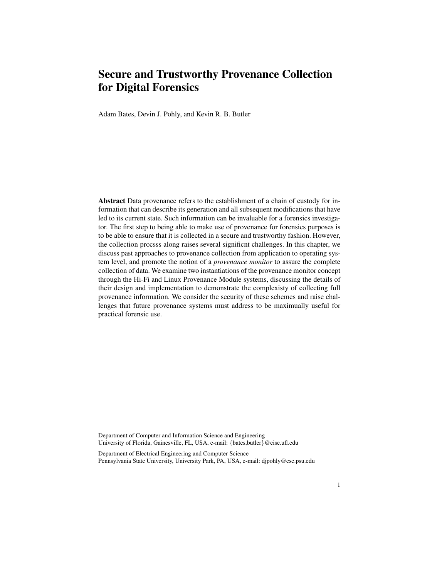# Secure and Trustworthy Provenance Collection for Digital Forensics

Adam Bates, Devin J. Pohly, and Kevin R. B. Butler

Abstract Data provenance refers to the establishment of a chain of custody for information that can describe its generation and all subsequent modifications that have led to its current state. Such information can be invaluable for a forensics investigator. The first step to being able to make use of provenance for forensics purposes is to be able to ensure that it is collected in a secure and trustworthy fashion. However, the collection procsss along raises several significnt challenges. In this chapter, we discuss past approaches to provenance collection from application to operating system level, and promote the notion of a *provenance monitor* to assure the complete collection of data. We examine two instantiations of the provenance monitor concept through the Hi-Fi and Linux Provenance Module systems, discussing the details of their design and implementation to demonstrate the complexisty of collecting full provenance information. We consider the security of these schemes and raise challenges that future provenance systems must address to be maximually useful for practical forensic use.

Department of Computer and Information Science and Engineering University of Florida, Gainesville, FL, USA, e-mail: {bates,butler}@cise.ufl.edu

Department of Electrical Engineering and Computer Science Pennsylvania State University, University Park, PA, USA, e-mail: djpohly@cse.psu.edu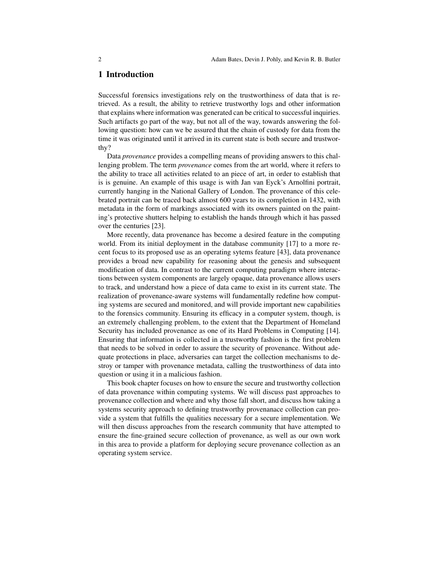# 1 Introduction

Successful forensics investigations rely on the trustworthiness of data that is retrieved. As a result, the ability to retrieve trustworthy logs and other information that explains where information was generated can be critical to successful inquiries. Such artifacts go part of the way, but not all of the way, towards answering the following question: how can we be assured that the chain of custody for data from the time it was originated until it arrived in its current state is both secure and trustworthy?

Data *provenance* provides a compelling means of providing answers to this challenging problem. The term *provenance* comes from the art world, where it refers to the ability to trace all activities related to an piece of art, in order to establish that is is genuine. An example of this usage is with Jan van Eyck's Arnolfini portrait, currently hanging in the National Gallery of London. The provenance of this celebrated portrait can be traced back almost 600 years to its completion in 1432, with metadata in the form of markings associated with its owners painted on the painting's protective shutters helping to establish the hands through which it has passed over the centuries [23].

More recently, data provenance has become a desired feature in the computing world. From its initial deployment in the database community [17] to a more recent focus to its proposed use as an operating sytems feature [43], data provenance provides a broad new capability for reasoning about the genesis and subsequent modification of data. In contrast to the current computing paradigm where interactions between system components are largely opaque, data provenance allows users to track, and understand how a piece of data came to exist in its current state. The realization of provenance-aware systems will fundamentally redefine how computing systems are secured and monitored, and will provide important new capabilities to the forensics community. Ensuring its efficacy in a computer system, though, is an extremely challenging problem, to the extent that the Department of Homeland Security has included provenance as one of its Hard Problems in Computing [14]. Ensuring that information is collected in a trustworthy fashion is the first problem that needs to be solved in order to assure the security of provenance. Without adequate protections in place, adversaries can target the collection mechanisms to destroy or tamper with provenance metadata, calling the trustworthiness of data into question or using it in a malicious fashion.

This book chapter focuses on how to ensure the secure and trustworthy collection of data provenance within computing systems. We will discuss past approaches to provenance collection and where and why those fall short, and discuss how taking a systems security approach to defining trustworthy provenanace collection can provide a system that fulfills the qualities necessary for a secure implementation. We will then discuss approaches from the research community that have attempted to ensure the fine-grained secure collection of provenance, as well as our own work in this area to provide a platform for deploying secure provenance collection as an operating system service.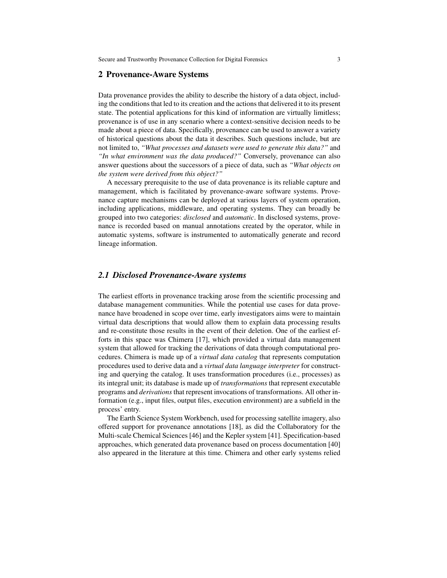### 2 Provenance-Aware Systems

Data provenance provides the ability to describe the history of a data object, including the conditions that led to its creation and the actions that delivered it to its present state. The potential applications for this kind of information are virtually limitless; provenance is of use in any scenario where a context-sensitive decision needs to be made about a piece of data. Specifically, provenance can be used to answer a variety of historical questions about the data it describes. Such questions include, but are not limited to, *"What processes and datasets were used to generate this data?"* and *"In what environment was the data produced?"* Conversely, provenance can also answer questions about the successors of a piece of data, such as *"What objects on the system were derived from this object?"*

A necessary prerequisite to the use of data provenance is its reliable capture and management, which is facilitated by provenance-aware software systems. Provenance capture mechanisms can be deployed at various layers of system operation, including applications, middleware, and operating systems. They can broadly be grouped into two categories: *disclosed* and *automatic*. In disclosed systems, provenance is recorded based on manual annotations created by the operator, while in automatic systems, software is instrumented to automatically generate and record lineage information.

### *2.1 Disclosed Provenance-Aware systems*

The earliest efforts in provenance tracking arose from the scientific processing and database management communities. While the potential use cases for data provenance have broadened in scope over time, early investigators aims were to maintain virtual data descriptions that would allow them to explain data processing results and re-constitute those results in the event of their deletion. One of the earliest efforts in this space was Chimera [17], which provided a virtual data management system that allowed for tracking the derivations of data through computational procedures. Chimera is made up of a *virtual data catalog* that represents computation procedures used to derive data and a *virtual data language interpreter* for constructing and querying the catalog. It uses transformation procedures (i.e., processes) as its integral unit; its database is made up of *transformations* that represent executable programs and *derivations* that represent invocations of transformations. All other information (e.g., input files, output files, execution environment) are a subfield in the process' entry.

The Earth Science System Workbench, used for processing satellite imagery, also offered support for provenance annotations [18], as did the Collaboratory for the Multi-scale Chemical Sciences [46] and the Kepler system [41]. Specification-based approaches, which generated data provenance based on process documentation [40] also appeared in the literature at this time. Chimera and other early systems relied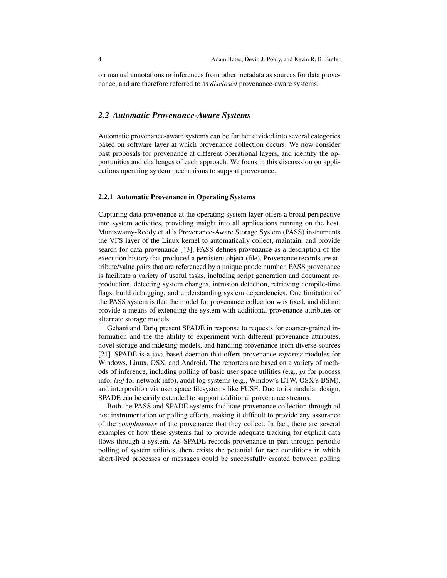on manual annotations or inferences from other metadata as sources for data provenance, and are therefore referred to as *disclosed* provenance-aware systems.

# *2.2 Automatic Provenance-Aware Systems*

Automatic provenance-aware systems can be further divided into several categories based on software layer at which provenance collection occurs. We now consider past proposals for provenance at different operational layers, and identify the opportunities and challenges of each approach. We focus in this discusssion on applications operating system mechanisms to support provenance.

### 2.2.1 Automatic Provenance in Operating Systems

Capturing data provenance at the operating system layer offers a broad perspective into system activities, providing insight into all applications running on the host. Muniswamy-Reddy et al.'s Provenance-Aware Storage System (PASS) instruments the VFS layer of the Linux kernel to automatically collect, maintain, and provide search for data provenance [43]. PASS defines provenance as a description of the execution history that produced a persistent object (file). Provenance records are attribute/value pairs that are referenced by a unique pnode number. PASS provenance is facilitate a variety of useful tasks, including script generation and document reproduction, detecting system changes, intrusion detection, retrieving compile-time flags, build debugging, and understanding system dependencies. One limitation of the PASS system is that the model for provenance collection was fixed, and did not provide a means of extending the system with additional provenance attributes or alternate storage models.

Gehani and Tariq present SPADE in response to requests for coarser-grained information and the the ability to experiment with different provenance attributes, novel storage and indexing models, and handling provenance from diverse sources [21]. SPADE is a java-based daemon that offers provenance *reporter* modules for Windows, Linux, OSX, and Android. The reporters are based on a variety of methods of inference, including polling of basic user space utilities (e.g., *ps* for process info, *lsof* for network info), audit log systems (e.g., Window's ETW, OSX's BSM), and interposition via user space filesystems like FUSE. Due to its modular design, SPADE can be easily extended to support additional provenance streams.

Both the PASS and SPADE systems facilitate provenance collection through ad hoc instrumentation or polling efforts, making it difficult to provide any assurance of the *completeness* of the provenance that they collect. In fact, there are several examples of how these systems fail to provide adequate tracking for explicit data flows through a system. As SPADE records provenance in part through periodic polling of system utilities, there exists the potential for race conditions in which short-lived processes or messages could be successfully created between polling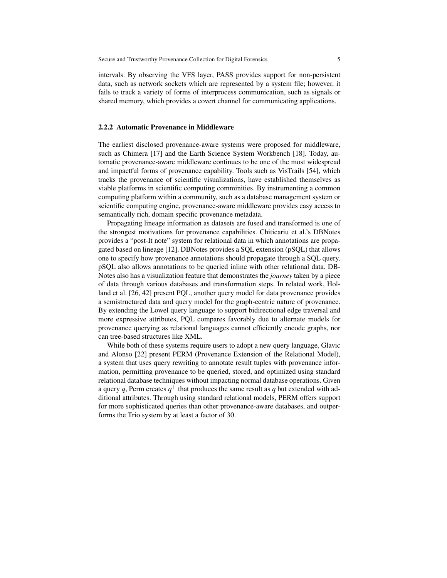intervals. By observing the VFS layer, PASS provides support for non-persistent data, such as network sockets which are represented by a system file; however, it fails to track a variety of forms of interprocess communication, such as signals or shared memory, which provides a covert channel for communicating applications.

### 2.2.2 Automatic Provenance in Middleware

The earliest disclosed provenance-aware systems were proposed for middleware, such as Chimera [17] and the Earth Science System Workbench [18]. Today, automatic provenance-aware middleware continues to be one of the most widespread and impactful forms of provenance capability. Tools such as VisTrails [54], which tracks the provenance of scientific visualizations, have established themselves as viable platforms in scientific computing comminities. By instrumenting a common computing platform within a community, such as a database management system or scientific computing engine, provenance-aware middleware provides easy access to semantically rich, domain specific provenance metadata.

Propagating lineage information as datasets are fused and transformed is one of the strongest motivations for provenance capabilities. Chiticariu et al.'s DBNotes provides a "post-It note" system for relational data in which annotations are propagated based on lineage [12]. DBNotes provides a SQL extension (pSQL) that allows one to specify how provenance annotations should propagate through a SQL query. pSQL also allows annotations to be queried inline with other relational data. DB-Notes also has a visualization feature that demonstrates the *journey* taken by a piece of data through various databases and transformation steps. In related work, Holland et al. [26, 42] present PQL, another query model for data provenance provides a semistructured data and query model for the graph-centric nature of provenance. By extending the Lowel query language to support bidirectional edge traversal and more expressive attributes, PQL compares favorably due to alternate models for provenance querying as relational languages cannot efficiently encode graphs, nor can tree-based structures like XML.

While both of these systems require users to adopt a new query language, Glavic and Alonso [22] present PERM (Provenance Extension of the Relational Model), a system that uses query rewriting to annotate result tuples with provenance information, permitting provenance to be queried, stored, and optimized using standard relational database techniques without impacting normal database operations. Given a query  $q$ , Perm creates  $q^+$  that produces the same result as  $q$  but extended with additional attributes. Through using standard relational models, PERM offers support for more sophisticated queries than other provenance-aware databases, and outperforms the Trio system by at least a factor of 30.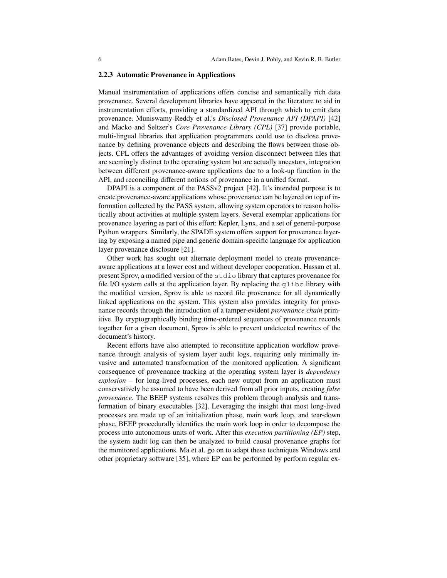#### 2.2.3 Automatic Provenance in Applications

Manual instrumentation of applications offers concise and semantically rich data provenance. Several development libraries have appeared in the literature to aid in instrumentation efforts, providing a standardized API through which to emit data provenance. Muniswamy-Reddy et al.'s *Disclosed Provenance API (DPAPI)* [42] and Macko and Seltzer's *Core Provenance Library (CPL)* [37] provide portable, multi-lingual libraries that application programmers could use to disclose provenance by defining provenance objects and describing the flows between those objects. CPL offers the advantages of avoiding version disconnect between files that are seemingly distinct to the operating system but are actually ancestors, integration between different provenance-aware applications due to a look-up function in the API, and reconciling different notions of provenance in a unified format.

DPAPI is a component of the PASSv2 project [42]. It's intended purpose is to create provenance-aware applications whose provenance can be layered on top of information collected by the PASS system, allowing system operators to reason holistically about activities at multiple system layers. Several exemplar applications for provenance layering as part of this effort: Kepler, Lynx, and a set of general-purpose Python wrappers. Similarly, the SPADE system offers support for provenance layering by exposing a named pipe and generic domain-specific language for application layer provenance disclosure [21].

Other work has sought out alternate deployment model to create provenanceaware applications at a lower cost and without developer cooperation. Hassan et al. present Sprov, a modified version of the stdio library that captures provenance for file I/O system calls at the application layer. By replacing the glibc library with the modified version, Sprov is able to record file provenance for all dynamically linked applications on the system. This system also provides integrity for provenance records through the introduction of a tamper-evident *provenance chain* primitive. By cryptographically binding time-ordered sequences of provenance records together for a given document, Sprov is able to prevent undetected rewrites of the document's history.

Recent efforts have also attempted to reconstitute application workflow provenance through analysis of system layer audit logs, requiring only minimally invasive and automated transformation of the monitored application. A significant consequence of provenance tracking at the operating system layer is *dependency explosion* – for long-lived processes, each new output from an application must conservatively be assumed to have been derived from all prior inputs, creating *false provenance*. The BEEP systems resolves this problem through analysis and transformation of binary executables [32]. Leveraging the insight that most long-lived processes are made up of an initialization phase, main work loop, and tear-down phase, BEEP procedurally identifies the main work loop in order to decompose the process into autonomous units of work. After this *execution partitioning (EP)* step, the system audit log can then be analyzed to build causal provenance graphs for the monitored applications. Ma et al. go on to adapt these techniques Windows and other proprietary software [35], where EP can be performed by perform regular ex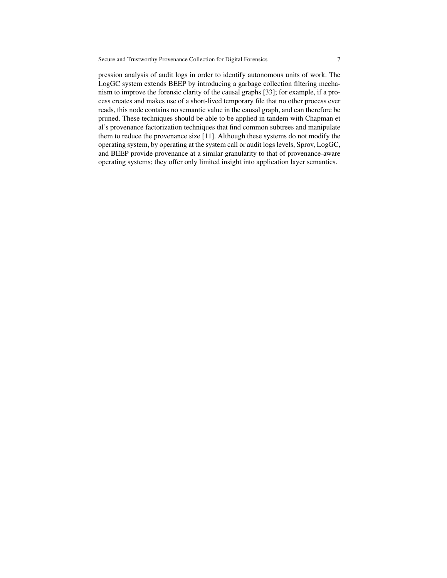pression analysis of audit logs in order to identify autonomous units of work. The LogGC system extends BEEP by introducing a garbage collection filtering mechanism to improve the forensic clarity of the causal graphs [33]; for example, if a process creates and makes use of a short-lived temporary file that no other process ever reads, this node contains no semantic value in the causal graph, and can therefore be pruned. These techniques should be able to be applied in tandem with Chapman et al's provenance factorization techniques that find common subtrees and manipulate them to reduce the provenance size [11]. Although these systems do not modify the operating system, by operating at the system call or audit logs levels, Sprov, LogGC, and BEEP provide provenance at a similar granularity to that of provenance-aware operating systems; they offer only limited insight into application layer semantics.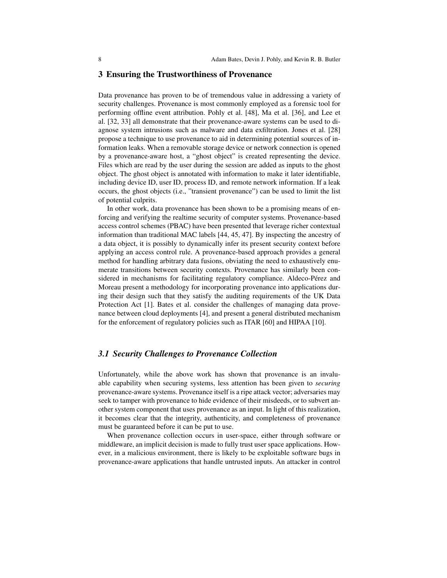# 3 Ensuring the Trustworthiness of Provenance

Data provenance has proven to be of tremendous value in addressing a variety of security challenges. Provenance is most commonly employed as a forensic tool for performing offline event attribution. Pohly et al. [48], Ma et al. [36], and Lee et al. [32, 33] all demonstrate that their provenance-aware systems can be used to diagnose system intrusions such as malware and data exfiltration. Jones et al. [28] propose a technique to use provenance to aid in determining potential sources of information leaks. When a removable storage device or network connection is opened by a provenance-aware host, a "ghost object" is created representing the device. Files which are read by the user during the session are added as inputs to the ghost object. The ghost object is annotated with information to make it later identifiable, including device ID, user ID, process ID, and remote network information. If a leak occurs, the ghost objects (i.e., "transient provenance") can be used to limit the list of potential culprits.

In other work, data provenance has been shown to be a promising means of enforcing and verifying the realtime security of computer systems. Provenance-based access control schemes (PBAC) have been presented that leverage richer contextual information than traditional MAC labels [44, 45, 47]. By inspecting the ancestry of a data object, it is possibly to dynamically infer its present security context before applying an access control rule. A provenance-based approach provides a general method for handling arbitrary data fusions, obviating the need to exhaustively enumerate transitions between security contexts. Provenance has similarly been considered in mechanisms for facilitating regulatory compliance. Aldeco-Pérez and Moreau present a methodology for incorporating provenance into applications during their design such that they satisfy the auditing requirements of the UK Data Protection Act [1]. Bates et al. consider the challenges of managing data provenance between cloud deployments [4], and present a general distributed mechanism for the enforcement of regulatory policies such as ITAR [60] and HIPAA [10].

# *3.1 Security Challenges to Provenance Collection*

Unfortunately, while the above work has shown that provenance is an invaluable capability when securing systems, less attention has been given to *securing* provenance-aware systems. Provenance itself is a ripe attack vector; adversaries may seek to tamper with provenance to hide evidence of their misdeeds, or to subvert another system component that uses provenance as an input. In light of this realization, it becomes clear that the integrity, authenticity, and completeness of provenance must be guaranteed before it can be put to use.

When provenance collection occurs in user-space, either through software or middleware, an implicit decision is made to fully trust user space applications. However, in a malicious environment, there is likely to be exploitable software bugs in provenance-aware applications that handle untrusted inputs. An attacker in control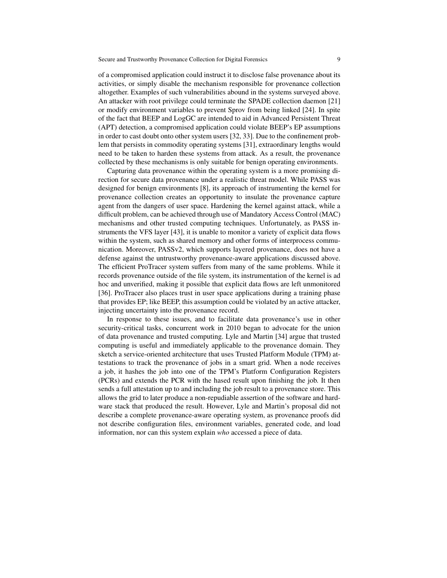of a compromised application could instruct it to disclose false provenance about its activities, or simply disable the mechanism responsible for provenance collection altogether. Examples of such vulnerabilities abound in the systems surveyed above. An attacker with root privilege could terminate the SPADE collection daemon [21] or modify environment variables to prevent Sprov from being linked [24]. In spite of the fact that BEEP and LogGC are intended to aid in Advanced Persistent Threat (APT) detection, a compromised application could violate BEEP's EP assumptions in order to cast doubt onto other system users [32, 33]. Due to the confinement problem that persists in commodity operating systems [31], extraordinary lengths would need to be taken to harden these systems from attack. As a result, the provenance collected by these mechanisms is only suitable for benign operating environments.

Capturing data provenance within the operating system is a more promising direction for secure data provenance under a realistic threat model. While PASS was designed for benign environments [8], its approach of instrumenting the kernel for provenance collection creates an opportunity to insulate the provenance capture agent from the dangers of user space. Hardening the kernel against attack, while a difficult problem, can be achieved through use of Mandatory Access Control (MAC) mechanisms and other trusted computing techniques. Unfortunately, as PASS instruments the VFS layer [43], it is unable to monitor a variety of explicit data flows within the system, such as shared memory and other forms of interprocess communication. Moreover, PASSv2, which supports layered provenance, does not have a defense against the untrustworthy provenance-aware applications discussed above. The efficient ProTracer system suffers from many of the same problems. While it records provenance outside of the file system, its instrumentation of the kernel is ad hoc and unverified, making it possible that explicit data flows are left unmonitored [36]. ProTracer also places trust in user space applications during a training phase that provides EP; like BEEP, this assumption could be violated by an active attacker, injecting uncertainty into the provenance record.

In response to these issues, and to facilitate data provenance's use in other security-critical tasks, concurrent work in 2010 began to advocate for the union of data provenance and trusted computing. Lyle and Martin [34] argue that trusted computing is useful and immediately applicable to the provenance domain. They sketch a service-oriented architecture that uses Trusted Platform Module (TPM) attestations to track the provenance of jobs in a smart grid. When a node receives a job, it hashes the job into one of the TPM's Platform Configuration Registers (PCRs) and extends the PCR with the hased result upon finishing the job. It then sends a full attestation up to and including the job result to a provenance store. This allows the grid to later produce a non-repudiable assertion of the software and hardware stack that produced the result. However, Lyle and Martin's proposal did not describe a complete provenance-aware operating system, as provenance proofs did not describe configuration files, environment variables, generated code, and load information, nor can this system explain *who* accessed a piece of data.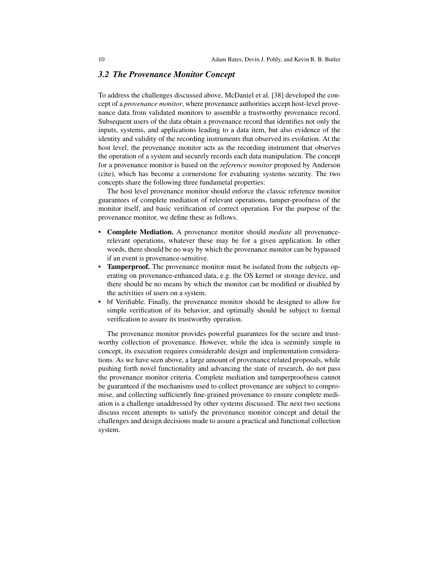# *3.2 The Provenance Monitor Concept*

To address the challenges discussed above, McDaniel et al. [38] developed the concept of a *provenance monitor*, where provenance authorities accept host-level provenance data from validated monitors to assemble a trustworthy provenance record. Subsequent users of the data obtain a provenance record that identifies not only the inputs, systems, and applications leading to a data item, but also evidence of the identity and validity of the recording instruments that observed its evolution. At the host level, the provenance monitor acts as the recording instrument that observes the operation of a system and securely records each data manipulation. The concept for a provenance monitor is based on the *reference monitor* proposed by Anderson (cite), which has become a cornerstone for evaluating systems security. The two concepts share the following three fundametal properties:

The host level provenance monitor should enforce the classic reference monitor guarantees of complete mediation of relevant operations, tamper-proofness of the monitor itself, and basic verification of correct operation. For the purpose of the provenance monitor, we define these as follows.

- Complete Mediation. A provenance monitor should *mediate* all provenancerelevant operations, whatever these may be for a given application. In other words, there should be no way by which the provenance monitor can be bypassed if an event is provenance-sensitive.
- **Tamperproof.** The provenance monitor must be isolated from the subjects operating on provenance-enhanced data, e.g. the OS kernel or storage device, and there should be no means by which the monitor can be modified or disabled by the activities of users on a system.
- bf Verifiable. Finally, the provenance monitor should be designed to allow for simple verification of its behavior, and optimally should be subject to formal verification to assure its trustworthy operation.

The provenance monitor provides powerful guarantees for the secure and trustworthy collection of provenance. However, while the idea is seeminly simple in concept, its execution requires considerable design and implementation considerations. As we have seen above, a large amount of provenance related proposals, while pushing forth novel functionality and advancing the state of research, do not pass the provenance monitor criteria. Complete mediation and tamperproofness cannot be guaranteed if the mechanisms used to collect provenance are subject to compromise, and collecting sufficiently fine-grained provenance to ensure complete mediation is a challenge unaddressed by other systems discussed. The next two sections discuss recent attempts to satisfy the provenance monitor concept and detail the challenges and design decisions made to assure a practical and functional collection system.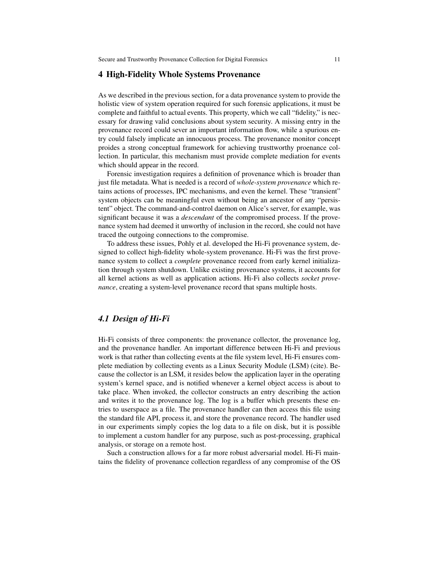# 4 High-Fidelity Whole Systems Provenance

As we described in the previous section, for a data provenance system to provide the holistic view of system operation required for such forensic applications, it must be complete and faithful to actual events. This property, which we call "fidelity," is necessary for drawing valid conclusions about system security. A missing entry in the provenance record could sever an important information flow, while a spurious entry could falsely implicate an innocuous process. The provenance monitor concept proides a strong conceptual framework for achieving trusttworthy proenance collection. In particular, this mechanism must provide complete mediation for events which should appear in the record.

Forensic investigation requires a definition of provenance which is broader than just file metadata. What is needed is a record of *whole-system provenance* which retains actions of processes, IPC mechanisms, and even the kernel. These "transient" system objects can be meaningful even without being an ancestor of any "persistent" object. The command-and-control daemon on Alice's server, for example, was significant because it was a *descendant* of the compromised process. If the provenance system had deemed it unworthy of inclusion in the record, she could not have traced the outgoing connections to the compromise.

To address these issues, Pohly et al. developed the Hi-Fi provenance system, designed to collect high-fidelity whole-system provenance. Hi-Fi was the first provenance system to collect a *complete* provenance record from early kernel initialization through system shutdown. Unlike existing provenance systems, it accounts for all kernel actions as well as application actions. Hi-Fi also collects *socket provenance*, creating a system-level provenance record that spans multiple hosts.

# *4.1 Design of Hi-Fi*

Hi-Fi consists of three components: the provenance collector, the provenance log, and the provenance handler. An important difference between Hi-Fi and previous work is that rather than collecting events at the file system level, Hi-Fi ensures complete mediation by collecting events as a Linux Security Module (LSM) (cite). Because the collector is an LSM, it resides below the application layer in the operating system's kernel space, and is notified whenever a kernel object access is about to take place. When invoked, the collector constructs an entry describing the action and writes it to the provenance log. The log is a buffer which presents these entries to userspace as a file. The provenance handler can then access this file using the standard file API, process it, and store the provenance record. The handler used in our experiments simply copies the log data to a file on disk, but it is possible to implement a custom handler for any purpose, such as post-processing, graphical analysis, or storage on a remote host.

Such a construction allows for a far more robust adversarial model. Hi-Fi maintains the fidelity of provenance collection regardless of any compromise of the OS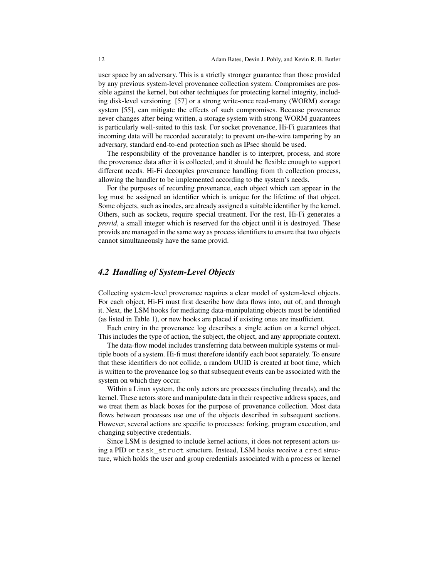user space by an adversary. This is a strictly stronger guarantee than those provided by any previous system-level provenance collection system. Compromises are possible against the kernel, but other techniques for protecting kernel integrity, including disk-level versioning [57] or a strong write-once read-many (WORM) storage system [55], can mitigate the effects of such compromises. Because provenance never changes after being written, a storage system with strong WORM guarantees is particularly well-suited to this task. For socket provenance, Hi-Fi guarantees that incoming data will be recorded accurately; to prevent on-the-wire tampering by an adversary, standard end-to-end protection such as IPsec should be used.

The responsibility of the provenance handler is to interpret, process, and store the provenance data after it is collected, and it should be flexible enough to support different needs. Hi-Fi decouples provenance handling from th collection process, allowing the handler to be implemented according to the system's needs.

For the purposes of recording provenance, each object which can appear in the log must be assigned an identifier which is unique for the lifetime of that object. Some objects, such as inodes, are already assigned a suitable identifier by the kernel. Others, such as sockets, require special treatment. For the rest, Hi-Fi generates a *provid*, a small integer which is reserved for the object until it is destroyed. These provids are managed in the same way as process identifiers to ensure that two objects cannot simultaneously have the same provid.

# *4.2 Handling of System-Level Objects*

Collecting system-level provenance requires a clear model of system-level objects. For each object, Hi-Fi must first describe how data flows into, out of, and through it. Next, the LSM hooks for mediating data-manipulating objects must be identified (as listed in Table 1), or new hooks are placed if existing ones are insufficient.

Each entry in the provenance log describes a single action on a kernel object. This includes the type of action, the subject, the object, and any appropriate context.

The data-flow model includes transferring data between multiple systems or multiple boots of a system. Hi-fi must therefore identify each boot separately. To ensure that these identifiers do not collide, a random UUID is created at boot time, which is written to the provenance log so that subsequent events can be associated with the system on which they occur.

Within a Linux system, the only actors are processes (including threads), and the kernel. These actors store and manipulate data in their respective address spaces, and we treat them as black boxes for the purpose of provenance collection. Most data flows between processes use one of the objects described in subsequent sections. However, several actions are specific to processes: forking, program execution, and changing subjective credentials.

Since LSM is designed to include kernel actions, it does not represent actors using a PID or task\_struct structure. Instead, LSM hooks receive a cred structure, which holds the user and group credentials associated with a process or kernel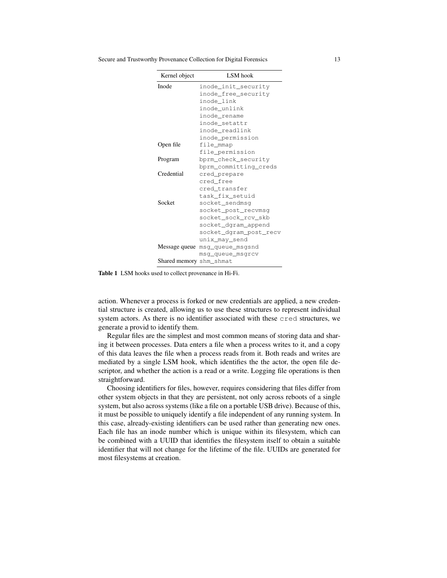Secure and Trustworthy Provenance Collection for Digital Forensics 13

| Kernel object           | LSM hook                       |
|-------------------------|--------------------------------|
| Inode                   | inode_init_security            |
|                         | inode_free_security            |
|                         | inode link                     |
|                         | inode_unlink                   |
|                         | inode_rename                   |
|                         | inode setattr                  |
|                         | inode readlink                 |
|                         | inode_permission               |
| Open file               | file_mmap                      |
|                         | file_permission                |
| Program                 | bprm_check_security            |
|                         | bprm_committing_creds          |
| Credential              | cred_prepare                   |
|                         | cred free                      |
|                         | cred transfer                  |
|                         | task_fix_setuid                |
| Socket                  | socket_sendmsq                 |
|                         | socket_post_recvmsq            |
|                         | socket_sock_rcv_skb            |
|                         | socket_dgram_append            |
|                         | socket_dgram_post_recv         |
|                         | unix_may_send                  |
|                         | Message queue msg_queue_msgsnd |
|                         | msq_queue_msqrcv               |
| Shared memory shm_shmat |                                |

Table 1 LSM hooks used to collect provenance in Hi-Fi.

action. Whenever a process is forked or new credentials are applied, a new credential structure is created, allowing us to use these structures to represent individual system actors. As there is no identifier associated with these cred structures, we generate a provid to identify them.

Regular files are the simplest and most common means of storing data and sharing it between processes. Data enters a file when a process writes to it, and a copy of this data leaves the file when a process reads from it. Both reads and writes are mediated by a single LSM hook, which identifies the the actor, the open file descriptor, and whether the action is a read or a write. Logging file operations is then straightforward.

Choosing identifiers for files, however, requires considering that files differ from other system objects in that they are persistent, not only across reboots of a single system, but also across systems (like a file on a portable USB drive). Because of this, it must be possible to uniquely identify a file independent of any running system. In this case, already-existing identifiers can be used rather than generating new ones. Each file has an inode number which is unique within its filesystem, which can be combined with a UUID that identifies the filesystem itself to obtain a suitable identifier that will not change for the lifetime of the file. UUIDs are generated for most filesystems at creation.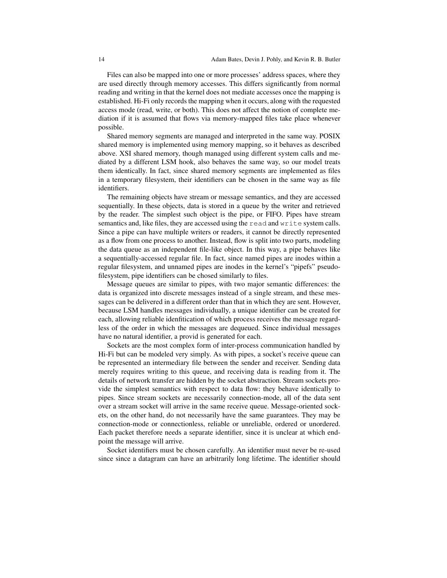Files can also be mapped into one or more processes' address spaces, where they are used directly through memory accesses. This differs significantly from normal reading and writing in that the kernel does not mediate accesses once the mapping is established. Hi-Fi only records the mapping when it occurs, along with the requested access mode (read, write, or both). This does not affect the notion of complete mediation if it is assumed that flows via memory-mapped files take place whenever possible.

Shared memory segments are managed and interpreted in the same way. POSIX shared memory is implemented using memory mapping, so it behaves as described above. XSI shared memory, though managed using different system calls and mediated by a different LSM hook, also behaves the same way, so our model treats them identically. In fact, since shared memory segments are implemented as files in a temporary filesystem, their identifiers can be chosen in the same way as file identifiers.

The remaining objects have stream or message semantics, and they are accessed sequentially. In these objects, data is stored in a queue by the writer and retrieved by the reader. The simplest such object is the pipe, or FIFO. Pipes have stream semantics and, like files, they are accessed using the read and write system calls. Since a pipe can have multiple writers or readers, it cannot be directly represented as a flow from one process to another. Instead, flow is split into two parts, modeling the data queue as an independent file-like object. In this way, a pipe behaves like a sequentially-accessed regular file. In fact, since named pipes are inodes within a regular filesystem, and unnamed pipes are inodes in the kernel's "pipefs" pseudofilesystem, pipe identifiers can be chosed similarly to files.

Message queues are similar to pipes, with two major semantic differences: the data is organized into discrete messages instead of a single stream, and these messages can be delivered in a different order than that in which they are sent. However, because LSM handles messages individually, a unique identifier can be created for each, allowing reliable idenfitication of which process receives the message regardless of the order in which the messages are dequeued. Since individual messages have no natural identifier, a provid is generated for each.

Sockets are the most complex form of inter-process communication handled by Hi-Fi but can be modeled very simply. As with pipes, a socket's receive queue can be represented an intermediary file between the sender and receiver. Sending data merely requires writing to this queue, and receiving data is reading from it. The details of network transfer are hidden by the socket abstraction. Stream sockets provide the simplest semantics with respect to data flow: they behave identically to pipes. Since stream sockets are necessarily connection-mode, all of the data sent over a stream socket will arrive in the same receive queue. Message-oriented sockets, on the other hand, do not necessarily have the same guarantees. They may be connection-mode or connectionless, reliable or unreliable, ordered or unordered. Each packet therefore needs a separate identifier, since it is unclear at which endpoint the message will arrive.

Socket identifiers must be chosen carefully. An identifier must never be re-used since since a datagram can have an arbitrarily long lifetime. The identifier should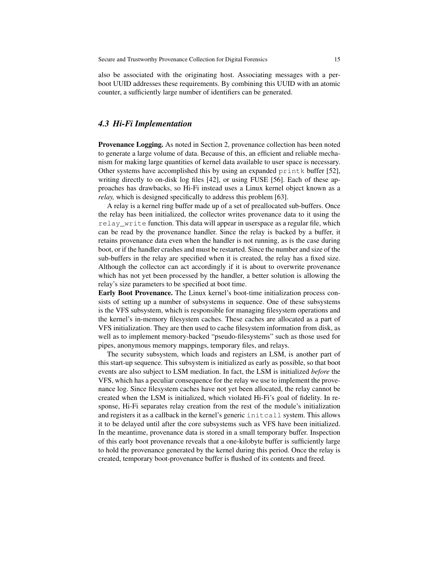also be associated with the originating host. Associating messages with a perboot UUID addresses these requirements. By combining this UUID with an atomic counter, a sufficiently large number of identifiers can be generated.

# *4.3 Hi-Fi Implementation*

Provenance Logging. As noted in Section 2, provenance collection has been noted to generate a large volume of data. Because of this, an efficient and reliable mechanism for making large quantities of kernel data available to user space is necessary. Other systems have accomplished this by using an expanded printk buffer [52], writing directly to on-disk log files [42], or using FUSE [56]. Each of these approaches has drawbacks, so Hi-Fi instead uses a Linux kernel object known as a *relay,* which is designed specifically to address this problem [63].

A relay is a kernel ring buffer made up of a set of preallocated sub-buffers. Once the relay has been initialized, the collector writes provenance data to it using the relay write function. This data will appear in userspace as a regular file, which can be read by the provenance handler. Since the relay is backed by a buffer, it retains provenance data even when the handler is not running, as is the case during boot, or if the handler crashes and must be restarted. Since the number and size of the sub-buffers in the relay are specified when it is created, the relay has a fixed size. Although the collector can act accordingly if it is about to overwrite provenance which has not yet been processed by the handler, a better solution is allowing the relay's size parameters to be specified at boot time.

Early Boot Provenance. The Linux kernel's boot-time initialization process consists of setting up a number of subsystems in sequence. One of these subsystems is the VFS subsystem, which is responsible for managing filesystem operations and the kernel's in-memory filesystem caches. These caches are allocated as a part of VFS initialization. They are then used to cache filesystem information from disk, as well as to implement memory-backed "pseudo-filesystems" such as those used for pipes, anonymous memory mappings, temporary files, and relays.

The security subsystem, which loads and registers an LSM, is another part of this start-up sequence. This subsystem is initialized as early as possible, so that boot events are also subject to LSM mediation. In fact, the LSM is initialized *before* the VFS, which has a peculiar consequence for the relay we use to implement the provenance log. Since filesystem caches have not yet been allocated, the relay cannot be created when the LSM is initialized, which violated Hi-Fi's goal of fidelity. In response, Hi-Fi separates relay creation from the rest of the module's initialization and registers it as a callback in the kernel's generic initcall system. This allows it to be delayed until after the core subsystems such as VFS have been initialized. In the meantime, provenance data is stored in a small temporary buffer. Inspection of this early boot provenance reveals that a one-kilobyte buffer is sufficiently large to hold the provenance generated by the kernel during this period. Once the relay is created, temporary boot-provenance buffer is flushed of its contents and freed.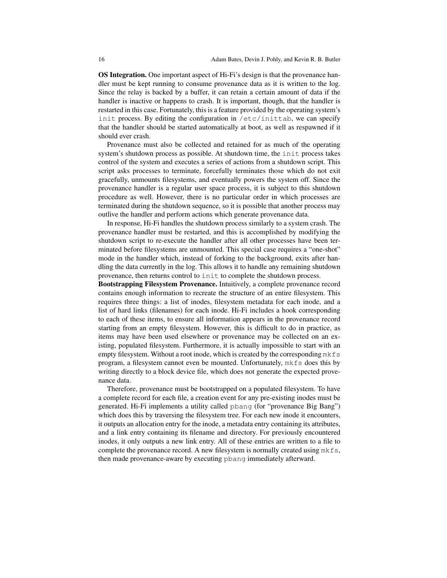OS Integration. One important aspect of Hi-Fi's design is that the provenance handler must be kept running to consume provenance data as it is written to the log. Since the relay is backed by a buffer, it can retain a certain amount of data if the handler is inactive or happens to crash. It is important, though, that the handler is restarted in this case. Fortunately, this is a feature provided by the operating system's init process. By editing the configuration in  $/etc$  inittab, we can specify that the handler should be started automatically at boot, as well as respawned if it should ever crash.

Provenance must also be collected and retained for as much of the operating system's shutdown process as possible. At shutdown time, the init process takes control of the system and executes a series of actions from a shutdown script. This script asks processes to terminate, forcefully terminates those which do not exit gracefully, unmounts filesystems, and eventually powers the system off. Since the provenance handler is a regular user space process, it is subject to this shutdown procedure as well. However, there is no particular order in which processes are terminated during the shutdown sequence, so it is possible that another process may outlive the handler and perform actions which generate provenance data.

In response, Hi-Fi handles the shutdown process similarly to a system crash. The provenance handler must be restarted, and this is accomplished by modifying the shutdown script to re-execute the handler after all other processes have been terminated before filesystems are unmounted. This special case requires a "one-shot" mode in the handler which, instead of forking to the background, exits after handling the data currently in the log. This allows it to handle any remaining shutdown provenance, then returns control to init to complete the shutdown process.

Bootstrapping Filesystem Provenance. Intuitively, a complete provenance record contains enough information to recreate the structure of an entire filesystem. This requires three things: a list of inodes, filesystem metadata for each inode, and a list of hard links (filenames) for each inode. Hi-Fi includes a hook corresponding to each of these items, to ensure all information appears in the provenance record starting from an empty filesystem. However, this is difficult to do in practice, as items may have been used elsewhere or provenance may be collected on an existing, populated filesystem. Furthermore, it is actually impossible to start with an empty filesystem. Without a root inode, which is created by the corresponding  $mkfs$ program, a filesystem cannot even be mounted. Unfortunately, mkfs does this by writing directly to a block device file, which does not generate the expected provenance data.

Therefore, provenance must be bootstrapped on a populated filesystem. To have a complete record for each file, a creation event for any pre-existing inodes must be generated. Hi-Fi implements a utility called pbang (for "provenance Big Bang") which does this by traversing the filesystem tree. For each new inode it encounters, it outputs an allocation entry for the inode, a metadata entry containing its attributes, and a link entry containing its filename and directory. For previously encountered inodes, it only outputs a new link entry. All of these entries are written to a file to complete the provenance record. A new filesystem is normally created using  $mkfs$ , then made provenance-aware by executing pbang immediately afterward.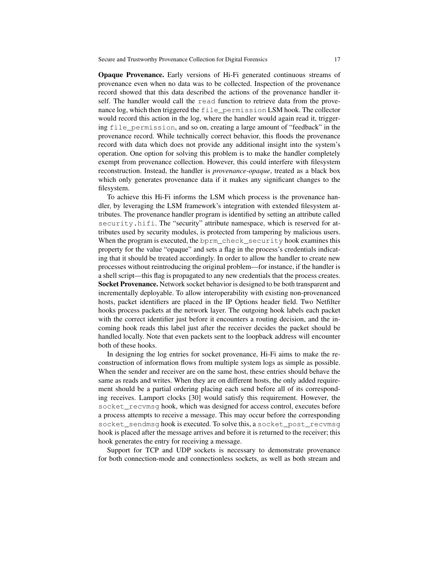Opaque Provenance. Early versions of Hi-Fi generated continuous streams of provenance even when no data was to be collected. Inspection of the provenance record showed that this data described the actions of the provenance handler itself. The handler would call the read function to retrieve data from the provenance log, which then triggered the file\_permission LSM hook. The collector would record this action in the log, where the handler would again read it, triggering file permission, and so on, creating a large amount of "feedback" in the provenance record. While technically correct behavior, this floods the provenance record with data which does not provide any additional insight into the system's operation. One option for solving this problem is to make the handler completely exempt from provenance collection. However, this could interfere with filesystem reconstruction. Instead, the handler is *provenance-opaque*, treated as a black box which only generates provenance data if it makes any significant changes to the filesystem.

To achieve this Hi-Fi informs the LSM which process is the provenance handler, by leveraging the LSM framework's integration with extended filesystem attributes. The provenance handler program is identified by setting an attribute called security.hifi. The "security" attribute namespace, which is reserved for attributes used by security modules, is protected from tampering by malicious users. When the program is executed, the bprm\_check\_security hook examines this property for the value "opaque" and sets a flag in the process's credentials indicating that it should be treated accordingly. In order to allow the handler to create new processes without reintroducing the original problem—for instance, if the handler is a shell script—this flag is propagated to any new credentials that the process creates. Socket Provenance. Network socket behavior is designed to be both transparent and incrementally deployable. To allow interoperability with existing non-provenanced hosts, packet identifiers are placed in the IP Options header field. Two Netfilter hooks process packets at the network layer. The outgoing hook labels each packet with the correct identifier just before it encounters a routing decision, and the incoming hook reads this label just after the receiver decides the packet should be handled locally. Note that even packets sent to the loopback address will encounter both of these hooks.

In designing the log entries for socket provenance, Hi-Fi aims to make the reconstruction of information flows from multiple system logs as simple as possible. When the sender and receiver are on the same host, these entries should behave the same as reads and writes. When they are on different hosts, the only added requirement should be a partial ordering placing each send before all of its corresponding receives. Lamport clocks [30] would satisfy this requirement. However, the socket recvmsg hook, which was designed for access control, executes before a process attempts to receive a message. This may occur before the corresponding socket sendmsg hook is executed. To solve this, a socket post recvmsg hook is placed after the message arrives and before it is returned to the receiver; this hook generates the entry for receiving a message.

Support for TCP and UDP sockets is necessary to demonstrate provenance for both connection-mode and connectionless sockets, as well as both stream and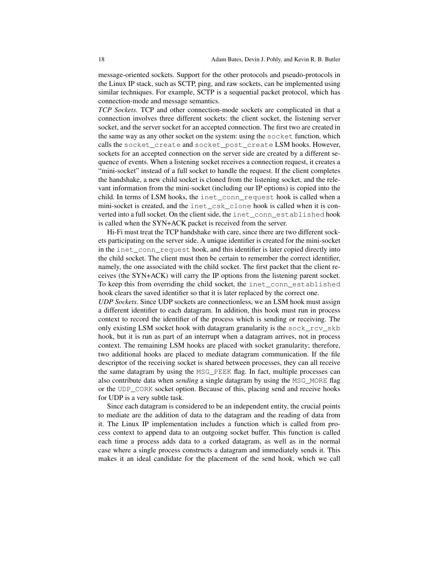message-oriented sockets. Support for the other protocols and pseudo-protocols in the Linux IP stack, such as SCTP, ping, and raw sockets, can be implemented using similar techniques. For example, SCTP is a sequential packet protocol, which has connection-mode and message semantics.

*TCP Sockets.* TCP and other connection-mode sockets are complicated in that a connection involves three different sockets: the client socket, the listening server socket, and the server socket for an accepted connection. The first two are created in the same way as any other socket on the system: using the socket function, which calls the socket\_create and socket\_post\_create LSM hooks. However, sockets for an accepted connection on the server side are created by a different sequence of events. When a listening socket receives a connection request, it creates a "mini-socket" instead of a full socket to handle the request. If the client completes the handshake, a new child socket is cloned from the listening socket, and the relevant information from the mini-socket (including our IP options) is copied into the child. In terms of LSM hooks, the inet\_conn\_request hook is called when a mini-socket is created, and the inet\_csk\_clone hook is called when it is converted into a full socket. On the client side, the inet\_conn\_established hook is called when the SYN+ACK packet is received from the server.

Hi-Fi must treat the TCP handshake with care, since there are two different sockets participating on the server side. A unique identifier is created for the mini-socket in the inet\_conn\_request hook, and this identifier is later copied directly into the child socket. The client must then be certain to remember the correct identifier, namely, the one associated with the child socket. The first packet that the client receives (the SYN+ACK) will carry the IP options from the listening parent socket. To keep this from overriding the child socket, the inet\_conn\_established hook clears the saved identifier so that it is later replaced by the correct one.

*UDP Sockets.* Since UDP sockets are connectionless, we an LSM hook must assign a different identifier to each datagram. In addition, this hook must run in process context to record the identifier of the process which is sending or receiving. The only existing LSM socket hook with datagram granularity is the sock\_rcv\_skb hook, but it is run as part of an interrupt when a datagram arrives, not in process context. The remaining LSM hooks are placed with socket granularity; therefore, two additional hooks are placed to mediate datagram communication. If the file descriptor of the receiving socket is shared between processes, they can all receive the same datagram by using the MSG\_PEEK flag. In fact, multiple processes can also contribute data when *sending* a single datagram by using the MSG\_MORE flag or the UDP\_CORK socket option. Because of this, placing send and receive hooks for UDP is a very subtle task.

Since each datagram is considered to be an independent entity, the crucial points to mediate are the addition of data to the datagram and the reading of data from it. The Linux IP implementation includes a function which is called from process context to append data to an outgoing socket buffer. This function is called each time a process adds data to a corked datagram, as well as in the normal case where a single process constructs a datagram and immediately sends it. This makes it an ideal candidate for the placement of the send hook, which we call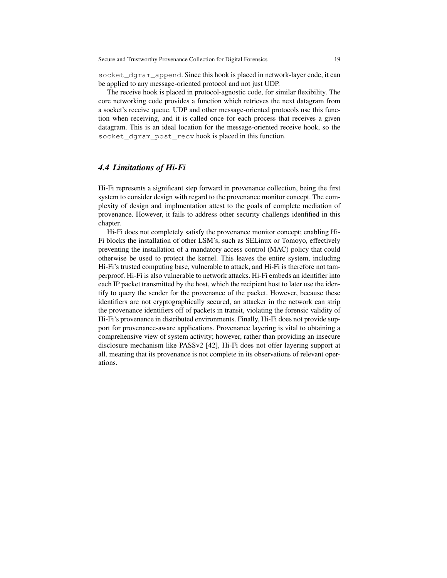socket dgram append. Since this hook is placed in network-layer code, it can be applied to any message-oriented protocol and not just UDP.

The receive hook is placed in protocol-agnostic code, for similar flexibility. The core networking code provides a function which retrieves the next datagram from a socket's receive queue. UDP and other message-oriented protocols use this function when receiving, and it is called once for each process that receives a given datagram. This is an ideal location for the message-oriented receive hook, so the socket\_dgram\_post\_recv hook is placed in this function.

# *4.4 Limitations of Hi-Fi*

Hi-Fi represents a significant step forward in provenance collection, being the first system to consider design with regard to the provenance monitor concept. The complexity of design and implmentation attest to the goals of complete mediation of provenance. However, it fails to address other security challengs idenfified in this chapter.

Hi-Fi does not completely satisfy the provenance monitor concept; enabling Hi-Fi blocks the installation of other LSM's, such as SELinux or Tomoyo, effectively preventing the installation of a mandatory access control (MAC) policy that could otherwise be used to protect the kernel. This leaves the entire system, including Hi-Fi's trusted computing base, vulnerable to attack, and Hi-Fi is therefore not tamperproof. Hi-Fi is also vulnerable to network attacks. Hi-Fi embeds an identifier into each IP packet transmitted by the host, which the recipient host to later use the identify to query the sender for the provenance of the packet. However, because these identifiers are not cryptographically secured, an attacker in the network can strip the provenance identifiers off of packets in transit, violating the forensic validity of Hi-Fi's provenance in distributed environments. Finally, Hi-Fi does not provide support for provenance-aware applications. Provenance layering is vital to obtaining a comprehensive view of system activity; however, rather than providing an insecure disclosure mechanism like PASSv2 [42], Hi-Fi does not offer layering support at all, meaning that its provenance is not complete in its observations of relevant operations.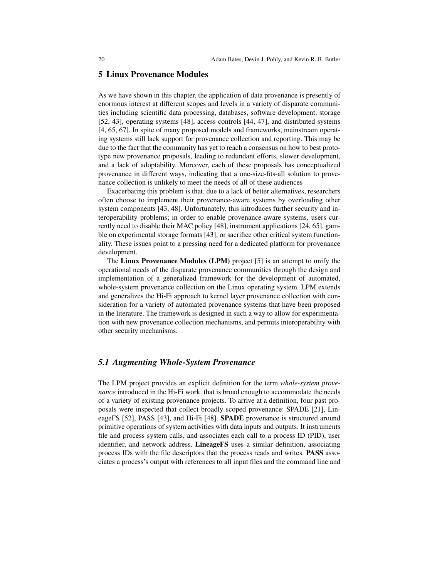# 5 Linux Provenance Modules

As we have shown in this chapter, the application of data provenance is presently of enormous interest at different scopes and levels in a variety of disparate communities including scientific data processing, databases, software development, storage [52, 43], operating systems [48], access controls [44, 47], and distributed systems [4, 65, 67]. In spite of many proposed models and frameworks, mainstream operating systems still lack support for provenance collection and reporting. This may be due to the fact that the community has yet to reach a consensus on how to best prototype new provenance proposals, leading to redundant efforts, slower development, and a lack of adoptability. Moreover, each of these proposals has conceptualized provenance in different ways, indicating that a one-size-fits-all solution to provenance collection is unlikely to meet the needs of all of these audiences

Exacerbating this problem is that, due to a lack of better alternatives, researchers often choose to implement their provenance-aware systems by overloading other system components [43, 48]. Unfortunately, this introduces further security and interoperability problems; in order to enable provenance-aware systems, users currently need to disable their MAC policy [48], instrument applications [24, 65], gamble on experimental storage formats [43], or sacrifice other critical system functionality. These issues point to a pressing need for a dedicated platform for provenance development.

The Linux Provenance Modules (LPM) project [5] is an attempt to unify the operational needs of the disparate provenance communities through the design and implementation of a generalized framework for the development of automated, whole-system provenance collection on the Linux operating system. LPM extends and generalizes the Hi-Fi approach to kernel layer provenance collection with consideration for a variety of automated provenance systems that have been proposed in the literature. The framework is designed in such a way to allow for experimentation with new provenance collection mechanisms, and permits interoperability with other security mechanisms.

# *5.1 Augmenting Whole-System Provenance*

The LPM project provides an explicit definition for the term *whole-system provenance* introduced in the Hi-Fi work. that is broad enough to accommodate the needs of a variety of existing provenance projects. To arrive at a definition, four past proposals were inspected that collect broadly scoped provenance: SPADE [21], LineageFS [52], PASS [43], and Hi-Fi [48]. SPADE provenance is structured around primitive operations of system activities with data inputs and outputs. It instruments file and process system calls, and associates each call to a process ID (PID), user identifier, and network address. LineageFS uses a similar definition, associating process IDs with the file descriptors that the process reads and writes. PASS associates a process's output with references to all input files and the command line and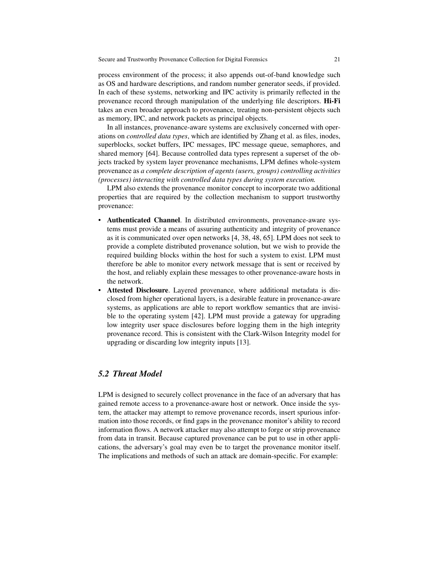process environment of the process; it also appends out-of-band knowledge such as OS and hardware descriptions, and random number generator seeds, if provided. In each of these systems, networking and IPC activity is primarily reflected in the provenance record through manipulation of the underlying file descriptors. Hi-Fi takes an even broader approach to provenance, treating non-persistent objects such as memory, IPC, and network packets as principal objects.

In all instances, provenance-aware systems are exclusively concerned with operations on *controlled data types*, which are identified by Zhang et al. as files, inodes, superblocks, socket buffers, IPC messages, IPC message queue, semaphores, and shared memory [64]. Because controlled data types represent a superset of the objects tracked by system layer provenance mechanisms, LPM defines whole-system provenance as *a complete description of agents (users, groups) controlling activities (processes) interacting with controlled data types during system execution.*

LPM also extends the provenance monitor concept to incorporate two additional properties that are required by the collection mechanism to support trustworthy provenance:

- Authenticated Channel. In distributed environments, provenance-aware systems must provide a means of assuring authenticity and integrity of provenance as it is communicated over open networks [4, 38, 48, 65]. LPM does not seek to provide a complete distributed provenance solution, but we wish to provide the required building blocks within the host for such a system to exist. LPM must therefore be able to monitor every network message that is sent or received by the host, and reliably explain these messages to other provenance-aware hosts in the network.
- Attested Disclosure. Layered provenance, where additional metadata is disclosed from higher operational layers, is a desirable feature in provenance-aware systems, as applications are able to report workflow semantics that are invisible to the operating system [42]. LPM must provide a gateway for upgrading low integrity user space disclosures before logging them in the high integrity provenance record. This is consistent with the Clark-Wilson Integrity model for upgrading or discarding low integrity inputs [13].

# *5.2 Threat Model*

LPM is designed to securely collect provenance in the face of an adversary that has gained remote access to a provenance-aware host or network. Once inside the system, the attacker may attempt to remove provenance records, insert spurious information into those records, or find gaps in the provenance monitor's ability to record information flows. A network attacker may also attempt to forge or strip provenance from data in transit. Because captured provenance can be put to use in other applications, the adversary's goal may even be to target the provenance monitor itself. The implications and methods of such an attack are domain-specific. For example: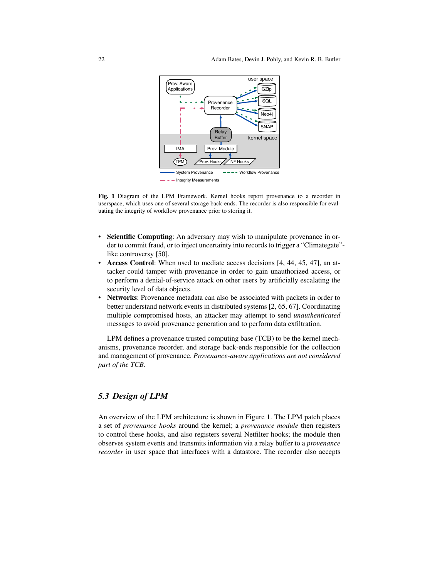

Fig. 1 Diagram of the LPM Framework. Kernel hooks report provenance to a recorder in userspace, which uses one of several storage back-ends. The recorder is also responsible for evaluating the integrity of workflow provenance prior to storing it.

- Scientific Computing: An adversary may wish to manipulate provenance in order to commit fraud, or to inject uncertainty into records to trigger a "Climategate" like controversy [50].
- Access Control: When used to mediate access decisions [4, 44, 45, 47], an attacker could tamper with provenance in order to gain unauthorized access, or to perform a denial-of-service attack on other users by artificially escalating the security level of data objects.
- Networks: Provenance metadata can also be associated with packets in order to better understand network events in distributed systems [2, 65, 67]. Coordinating multiple compromised hosts, an attacker may attempt to send *unauthenticated* messages to avoid provenance generation and to perform data exfiltration.

LPM defines a provenance trusted computing base (TCB) to be the kernel mechanisms, provenance recorder, and storage back-ends responsible for the collection and management of provenance. *Provenance-aware applications are not considered part of the TCB.*

# *5.3 Design of LPM*

An overview of the LPM architecture is shown in Figure 1. The LPM patch places a set of *provenance hooks* around the kernel; a *provenance module* then registers to control these hooks, and also registers several Netfilter hooks; the module then observes system events and transmits information via a relay buffer to a *provenance recorder* in user space that interfaces with a datastore. The recorder also accepts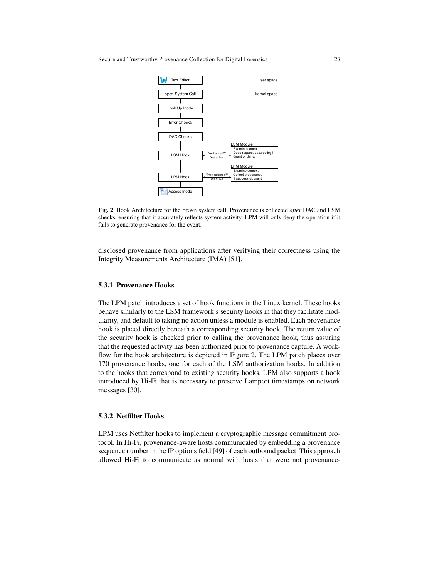Secure and Trustworthy Provenance Collection for Digital Forensics 23



Fig. 2 Hook Architecture for the open system call. Provenance is collected *after* DAC and LSM checks, ensuring that it accurately reflects system activity. LPM will only deny the operation if it fails to generate provenance for the event.

disclosed provenance from applications after verifying their correctness using the Integrity Measurements Architecture (IMA) [51].

### 5.3.1 Provenance Hooks

The LPM patch introduces a set of hook functions in the Linux kernel. These hooks behave similarly to the LSM framework's security hooks in that they facilitate modularity, and default to taking no action unless a module is enabled. Each provenance hook is placed directly beneath a corresponding security hook. The return value of the security hook is checked prior to calling the provenance hook, thus assuring that the requested activity has been authorized prior to provenance capture. A workflow for the hook architecture is depicted in Figure 2. The LPM patch places over 170 provenance hooks, one for each of the LSM authorization hooks. In addition to the hooks that correspond to existing security hooks, LPM also supports a hook introduced by Hi-Fi that is necessary to preserve Lamport timestamps on network messages [30].

### 5.3.2 Netfilter Hooks

LPM uses Netfilter hooks to implement a cryptographic message commitment protocol. In Hi-Fi, provenance-aware hosts communicated by embedding a provenance sequence number in the IP options field [49] of each outbound packet. This approach allowed Hi-Fi to communicate as normal with hosts that were not provenance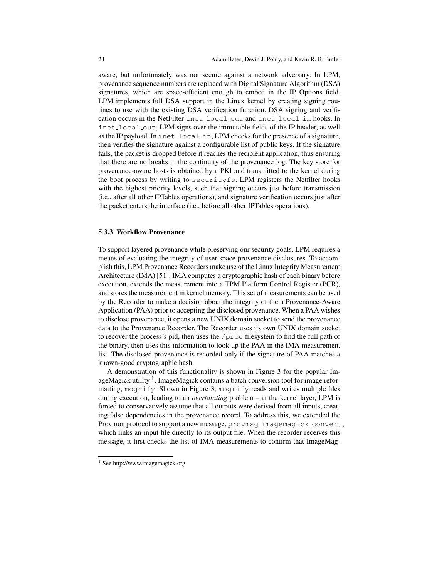aware, but unfortunately was not secure against a network adversary. In LPM, provenance sequence numbers are replaced with Digital Signature Algorithm (DSA) signatures, which are space-efficient enough to embed in the IP Options field. LPM implements full DSA support in the Linux kernel by creating signing routines to use with the existing DSA verification function. DSA signing and verification occurs in the NetFilter inet local out and inet local in hooks. In inet local out, LPM signs over the immutable fields of the IP header, as well as the IP payload. In inet\_local\_in, LPM checks for the presence of a signature, then verifies the signature against a configurable list of public keys. If the signature fails, the packet is dropped before it reaches the recipient application, thus ensuring that there are no breaks in the continuity of the provenance log. The key store for provenance-aware hosts is obtained by a PKI and transmitted to the kernel during the boot process by writing to securityfs. LPM registers the Netfilter hooks with the highest priority levels, such that signing occurs just before transmission (i.e., after all other IPTables operations), and signature verification occurs just after the packet enters the interface (i.e., before all other IPTables operations).

### 5.3.3 Workflow Provenance

To support layered provenance while preserving our security goals, LPM requires a means of evaluating the integrity of user space provenance disclosures. To accomplish this, LPM Provenance Recorders make use of the Linux Integrity Measurement Architecture (IMA) [51]. IMA computes a cryptographic hash of each binary before execution, extends the measurement into a TPM Platform Control Register (PCR), and stores the measurement in kernel memory. This set of measurements can be used by the Recorder to make a decision about the integrity of the a Provenance-Aware Application (PAA) prior to accepting the disclosed provenance. When a PAA wishes to disclose provenance, it opens a new UNIX domain socket to send the provenance data to the Provenance Recorder. The Recorder uses its own UNIX domain socket to recover the process's pid, then uses the  $/p$ roc filesystem to find the full path of the binary, then uses this information to look up the PAA in the IMA measurement list. The disclosed provenance is recorded only if the signature of PAA matches a known-good cryptographic hash.

A demonstration of this functionality is shown in Figure 3 for the popular ImageMagick utility <sup>1</sup>. ImageMagick contains a batch conversion tool for image reformatting, mogrify. Shown in Figure 3, mogrify reads and writes multiple files during execution, leading to an *overtainting* problem – at the kernel layer, LPM is forced to conservatively assume that all outputs were derived from all inputs, creating false dependencies in the provenance record. To address this, we extended the Provmon protocol to support a new message, provmsq\_imagemagick\_convert, which links an input file directly to its output file. When the recorder receives this message, it first checks the list of IMA measurements to confirm that ImageMag-

 $<sup>1</sup>$  See http://www.imagemagick.org</sup>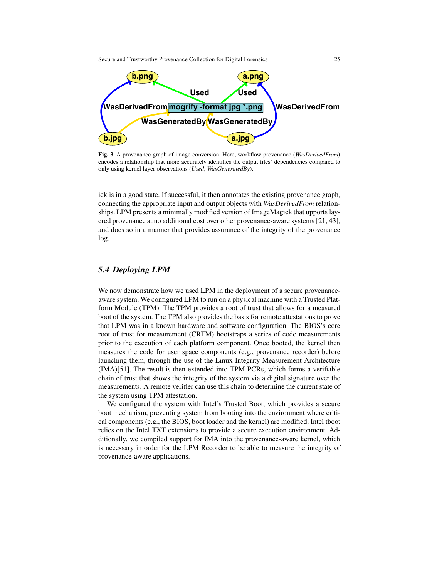Secure and Trustworthy Provenance Collection for Digital Forensics 25



Fig. 3 A provenance graph of image conversion. Here, workflow provenance (*WasDerivedFrom*) encodes a relationship that more accurately identifies the output files' dependencies compared to only using kernel layer observations (*Used*, *WasGeneratedBy*).

ick is in a good state. If successful, it then annotates the existing provenance graph, connecting the appropriate input and output objects with *WasDerivedFrom* relationships. LPM presents a minimally modified version of ImageMagick that upports layered provenance at no additional cost over other provenance-aware systems [21, 43], and does so in a manner that provides assurance of the integrity of the provenance log.

# *5.4 Deploying LPM*

We now demonstrate how we used LPM in the deployment of a secure provenanceaware system. We configured LPM to run on a physical machine with a Trusted Platform Module (TPM). The TPM provides a root of trust that allows for a measured boot of the system. The TPM also provides the basis for remote attestations to prove that LPM was in a known hardware and software configuration. The BIOS's core root of trust for measurement (CRTM) bootstraps a series of code measurements prior to the execution of each platform component. Once booted, the kernel then measures the code for user space components (e.g., provenance recorder) before launching them, through the use of the Linux Integrity Measurement Architecture (IMA)[51]. The result is then extended into TPM PCRs, which forms a verifiable chain of trust that shows the integrity of the system via a digital signature over the measurements. A remote verifier can use this chain to determine the current state of the system using TPM attestation.

We configured the system with Intel's Trusted Boot, which provides a secure boot mechanism, preventing system from booting into the environment where critical components (e.g., the BIOS, boot loader and the kernel) are modified. Intel tboot relies on the Intel TXT extensions to provide a secure execution environment. Additionally, we compiled support for IMA into the provenance-aware kernel, which is necessary in order for the LPM Recorder to be able to measure the integrity of provenance-aware applications.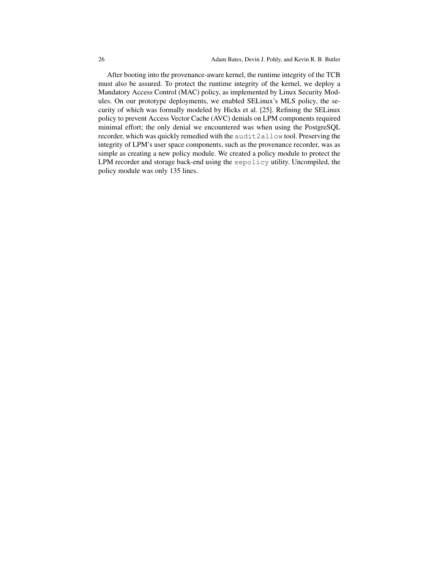After booting into the provenance-aware kernel, the runtime integrity of the TCB must also be assured. To protect the runtime integrity of the kernel, we deploy a Mandatory Access Control (MAC) policy, as implemented by Linux Security Modules. On our prototype deployments, we enabled SELinux's MLS policy, the security of which was formally modeled by Hicks et al. [25]. Refining the SELinux policy to prevent Access Vector Cache (AVC) denials on LPM components required minimal effort; the only denial we encountered was when using the PostgreSQL recorder, which was quickly remedied with the audit2allow tool. Preserving the integrity of LPM's user space components, such as the provenance recorder, was as simple as creating a new policy module. We created a policy module to protect the LPM recorder and storage back-end using the sepolicy utility. Uncompiled, the policy module was only 135 lines.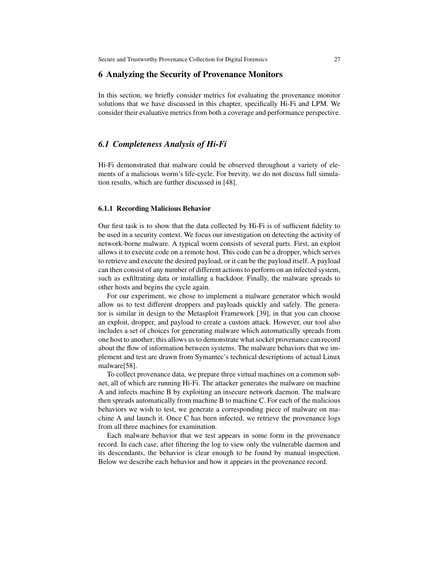# 6 Analyzing the Security of Provenance Monitors

In this section, we briefly consider metrics for evaluating the provenance monitor solutions that we have discussed in this chapter, specifically Hi-Fi and LPM. We consider their evaluative metrics from both a coverage and performance perspective.

# *6.1 Completeness Analysis of Hi-Fi*

Hi-Fi demonstrated that malware could be observed throughout a variety of elements of a malicious worm's life-cycle. For brevity, we do not discuss full simulation results, which are further discussed in [48].

### 6.1.1 Recording Malicious Behavior

Our first task is to show that the data collected by Hi-Fi is of sufficient fidelity to be used in a security context. We focus our investigation on detecting the activity of network-borne malware. A typical worm consists of several parts. First, an exploit allows it to execute code on a remote host. This code can be a dropper, which serves to retrieve and execute the desired payload, or it can be the payload itself. A payload can then consist of any number of different actions to perform on an infected system, such as exfiltrating data or installing a backdoor. Finally, the malware spreads to other hosts and begins the cycle again.

For our experiment, we chose to implement a malware generator which would allow us to test different droppers and payloads quickly and safely. The generator is similar in design to the Metasploit Framework [39], in that you can choose an exploit, dropper, and payload to create a custom attack. However, our tool also includes a set of choices for generating malware which automatically spreads from one host to another; this allows us to demonstrate what socket provenance can record about the flow of information between systems. The malware behaviors that we implement and test are drawn from Symantec's technical descriptions of actual Linux malware[58].

To collect provenance data, we prepare three virtual machines on a common subnet, all of which are running Hi-Fi. The attacker generates the malware on machine A and infects machine B by exploiting an insecure network daemon. The malware then spreads automatically from machine B to machine C. For each of the malicious behaviors we wish to test, we generate a corresponding piece of malware on machine A and launch it. Once C has been infected, we retrieve the provenance logs from all three machines for examination.

Each malware behavior that we test appears in some form in the provenance record. In each case, after filtering the log to view only the vulnerable daemon and its descendants, the behavior is clear enough to be found by manual inspection. Below we describe each behavior and how it appears in the provenance record.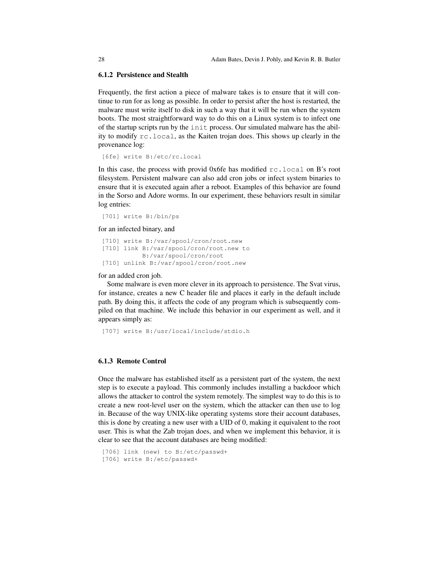#### 6.1.2 Persistence and Stealth

Frequently, the first action a piece of malware takes is to ensure that it will continue to run for as long as possible. In order to persist after the host is restarted, the malware must write itself to disk in such a way that it will be run when the system boots. The most straightforward way to do this on a Linux system is to infect one of the startup scripts run by the init process. Our simulated malware has the ability to modify rc.local, as the Kaiten trojan does. This shows up clearly in the provenance log:

[6fe] write B:/etc/rc.local

In this case, the process with provid 0x6fe has modified  $rc$ . local on B's root filesystem. Persistent malware can also add cron jobs or infect system binaries to ensure that it is executed again after a reboot. Examples of this behavior are found in the Sorso and Adore worms. In our experiment, these behaviors result in similar log entries:

[701] write B:/bin/ps

for an infected binary, and

[710] write B:/var/spool/cron/root.new [710] link B:/var/spool/cron/root.new to B:/var/spool/cron/root [710] unlink B:/var/spool/cron/root.new

### for an added cron job.

Some malware is even more clever in its approach to persistence. The Svat virus, for instance, creates a new C header file and places it early in the default include path. By doing this, it affects the code of any program which is subsequently compiled on that machine. We include this behavior in our experiment as well, and it appears simply as:

[707] write B:/usr/local/include/stdio.h

### 6.1.3 Remote Control

Once the malware has established itself as a persistent part of the system, the next step is to execute a payload. This commonly includes installing a backdoor which allows the attacker to control the system remotely. The simplest way to do this is to create a new root-level user on the system, which the attacker can then use to log in. Because of the way UNIX-like operating systems store their account databases, this is done by creating a new user with a UID of 0, making it equivalent to the root user. This is what the Zab trojan does, and when we implement this behavior, it is clear to see that the account databases are being modified:

```
[706] link (new) to B:/etc/passwd+
[706] write B:/etc/passwd+
```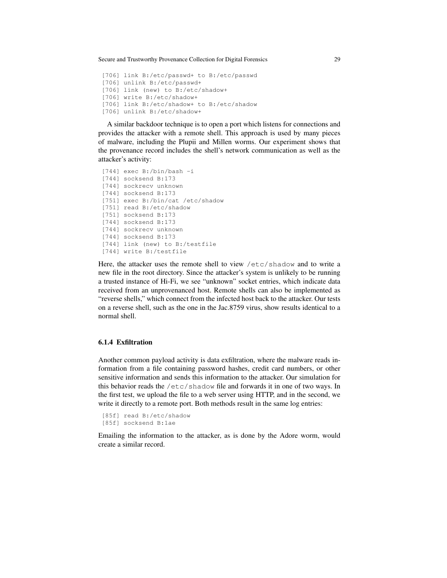Secure and Trustworthy Provenance Collection for Digital Forensics 29

```
[706] link B:/etc/passwd+ to B:/etc/passwd
[706] unlink B:/etc/passwd+
[706] link (new) to B:/etc/shadow+
[706] write B:/etc/shadow+
[706] link B:/etc/shadow+ to B:/etc/shadow
[706] unlink B:/etc/shadow+
```
A similar backdoor technique is to open a port which listens for connections and provides the attacker with a remote shell. This approach is used by many pieces of malware, including the Plupii and Millen worms. Our experiment shows that the provenance record includes the shell's network communication as well as the attacker's activity:

```
[744] exec B:/bin/bash -i
[744] socksend B:173
[744] sockrecv unknown
[744] socksend B:173
[751] exec B:/bin/cat /etc/shadow
[751] read B:/etc/shadow
[751] socksend B:173
[744] socksend B:173
[744] sockrecv unknown
[744] socksend B:173
[744] link (new) to B:/testfile
[744] write B:/testfile
```
Here, the attacker uses the remote shell to view  $/etc/shadow$  and to write a new file in the root directory. Since the attacker's system is unlikely to be running a trusted instance of Hi-Fi, we see "unknown" socket entries, which indicate data received from an unprovenanced host. Remote shells can also be implemented as "reverse shells," which connect from the infected host back to the attacker. Our tests on a reverse shell, such as the one in the Jac.8759 virus, show results identical to a normal shell.

### 6.1.4 Exfiltration

Another common payload activity is data exfiltration, where the malware reads information from a file containing password hashes, credit card numbers, or other sensitive information and sends this information to the attacker. Our simulation for this behavior reads the /etc/shadow file and forwards it in one of two ways. In the first test, we upload the file to a web server using HTTP, and in the second, we write it directly to a remote port. Both methods result in the same log entries:

```
[85f] read B:/etc/shadow
[85f] socksend B:1ae
```
Emailing the information to the attacker, as is done by the Adore worm, would create a similar record.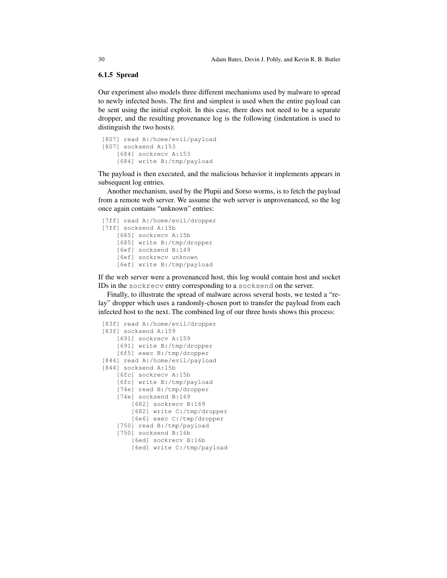### 6.1.5 Spread

Our experiment also models three different mechanisms used by malware to spread to newly infected hosts. The first and simplest is used when the entire payload can be sent using the initial exploit. In this case, there does not need to be a separate dropper, and the resulting provenance log is the following (indentation is used to distinguish the two hosts):

```
[807] read A:/home/evil/payload
[807] socksend A:153
    [684] sockrecv A:153
    [684] write B:/tmp/payload
```
The payload is then executed, and the malicious behavior it implements appears in subsequent log entries.

Another mechanism, used by the Plupii and Sorso worms, is to fetch the payload from a remote web server. We assume the web server is unprovenanced, so the log once again contains "unknown" entries:

```
[7ff] read A:/home/evil/dropper
[7ff] socksend A:15b
    [685] sockrecv A:15b
    [685] write B:/tmp/dropper
    [6ef] socksend B:149
    [6ef] sockrecv unknown
    [6ef] write B:/tmp/payload
```
If the web server were a provenanced host, this log would contain host and socket IDs in the sockrecv entry corresponding to a socksend on the server.

Finally, to illustrate the spread of malware across several hosts, we tested a "relay" dropper which uses a randomly-chosen port to transfer the payload from each infected host to the next. The combined log of our three hosts shows this process:

```
[83f] read A:/home/evil/dropper
[83f] socksend A:159
    [691] sockrecv A:159
    [691] write B:/tmp/dropper
   [6f5] exec B:/tmp/dropper
[844] read A:/home/evil/payload
[844] socksend A:15b
    [6fc] sockrecv A:15b
    [6fc] write B:/tmp/payload
    [74e] read B:/tmp/dropper
    [74e] socksend B:169
        [682] sockrecv B:169
        [682] write C:/tmp/dropper
        [6e6] exec C:/tmp/dropper
    [750] read B:/tmp/payload
    [750] socksend B:16b
        [6ed] sockrecv B:16b
        [6ed] write C:/tmp/payload
```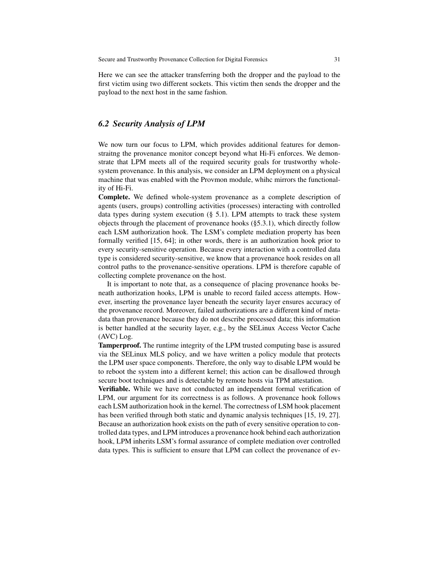Here we can see the attacker transferring both the dropper and the payload to the first victim using two different sockets. This victim then sends the dropper and the payload to the next host in the same fashion.

# *6.2 Security Analysis of LPM*

We now turn our focus to LPM, which provides additional features for demonstraitng the provenance monitor concept beyond what Hi-Fi enforces. We demonstrate that LPM meets all of the required security goals for trustworthy wholesystem provenance. In this analysis, we consider an LPM deployment on a physical machine that was enabled with the Provmon module, whihc mirrors the functionality of Hi-Fi.

Complete. We defined whole-system provenance as a complete description of agents (users, groups) controlling activities (processes) interacting with controlled data types during system execution (§ 5.1). LPM attempts to track these system objects through the placement of provenance hooks (§5.3.1), which directly follow each LSM authorization hook. The LSM's complete mediation property has been formally verified [15, 64]; in other words, there is an authorization hook prior to every security-sensitive operation. Because every interaction with a controlled data type is considered security-sensitive, we know that a provenance hook resides on all control paths to the provenance-sensitive operations. LPM is therefore capable of collecting complete provenance on the host.

It is important to note that, as a consequence of placing provenance hooks beneath authorization hooks, LPM is unable to record failed access attempts. However, inserting the provenance layer beneath the security layer ensures accuracy of the provenance record. Moreover, failed authorizations are a different kind of metadata than provenance because they do not describe processed data; this information is better handled at the security layer, e.g., by the SELinux Access Vector Cache (AVC) Log.

Tamperproof. The runtime integrity of the LPM trusted computing base is assured via the SELinux MLS policy, and we have written a policy module that protects the LPM user space components. Therefore, the only way to disable LPM would be to reboot the system into a different kernel; this action can be disallowed through secure boot techniques and is detectable by remote hosts via TPM attestation.

Verifiable. While we have not conducted an independent formal verification of LPM, our argument for its correctness is as follows. A provenance hook follows each LSM authorization hook in the kernel. The correctness of LSM hook placement has been verified through both static and dynamic analysis techniques [15, 19, 27]. Because an authorization hook exists on the path of every sensitive operation to controlled data types, and LPM introduces a provenance hook behind each authorization hook, LPM inherits LSM's formal assurance of complete mediation over controlled data types. This is sufficient to ensure that LPM can collect the provenance of ev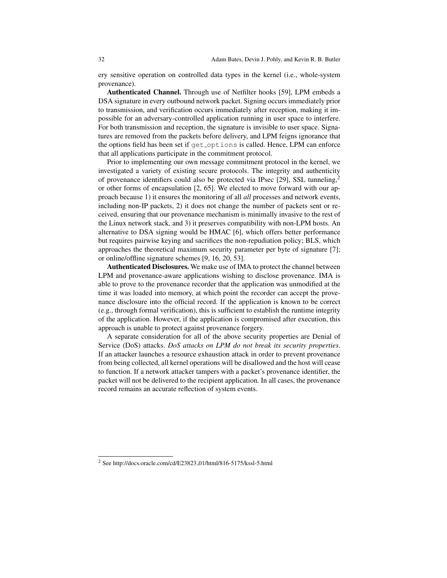ery sensitive operation on controlled data types in the kernel (i.e., whole-system provenance).

Authenticated Channel. Through use of Netfilter hooks [59], LPM embeds a DSA signature in every outbound network packet. Signing occurs immediately prior to transmission, and verification occurs immediately after reception, making it impossible for an adversary-controlled application running in user space to interfere. For both transmission and reception, the signature is invisible to user space. Signatures are removed from the packets before delivery, and LPM feigns ignorance that the options field has been set if get\_options is called. Hence, LPM can enforce that all applications participate in the commitment protocol.

Prior to implementing our own message commitment protocol in the kernel, we investigated a variety of existing secure protocols. The integrity and authenticity of provenance identifiers could also be protected via IPsec [29], SSL tunneling,<sup>2</sup> or other forms of encapsulation [2, 65]. We elected to move forward with our approach because 1) it ensures the monitoring of all *all* processes and network events, including non-IP packets, 2) it does not change the number of packets sent or received, ensuring that our provenance mechanism is minimally invasive to the rest of the Linux network stack, and 3) it preserves compatibility with non-LPM hosts. An alternative to DSA signing would be HMAC [6], which offers better performance but requires pairwise keying and sacrifices the non-repudiation policy; BLS, which approaches the theoretical maximum security parameter per byte of signature [7]; or online/offline signature schemes [9, 16, 20, 53].

Authenticated Disclosures. We make use of IMA to protect the channel between LPM and provenance-aware applications wishing to disclose provenance. IMA is able to prove to the provenance recorder that the application was unmodified at the time it was loaded into memory, at which point the recorder can accept the provenance disclosure into the official record. If the application is known to be correct (e.g., through formal verification), this is sufficient to establish the runtime integrity of the application. However, if the application is compromised after execution, this approach is unable to protect against provenance forgery.

A separate consideration for all of the above security properties are Denial of Service (DoS) attacks. *DoS attacks on LPM do not break its security properties*. If an attacker launches a resource exhaustion attack in order to prevent provenance from being collected, all kernel operations will be disallowed and the host will cease to function. If a network attacker tampers with a packet's provenance identifier, the packet will not be delivered to the recipient application. In all cases, the provenance record remains an accurate reflection of system events.

<sup>2</sup> See http://docs.oracle.com/cd/E23823 01/html/816-5175/kssl-5.html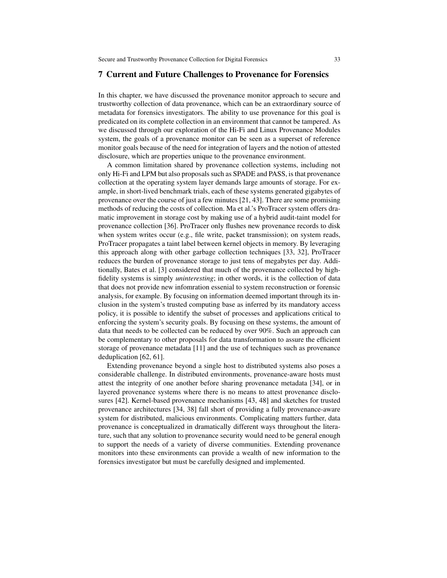### 7 Current and Future Challenges to Provenance for Forensics

In this chapter, we have discussed the provenance monitor approach to secure and trustworthy collection of data provenance, which can be an extraordinary source of metadata for forensics investigators. The ability to use provenance for this goal is predicated on its complete collection in an environment that cannot be tampered. As we discussed through our exploration of the Hi-Fi and Linux Provenance Modules system, the goals of a provenance monitor can be seen as a superset of reference monitor goals because of the need for integration of layers and the notion of attested disclosure, which are properties unique to the provenance environment.

A common limitation shared by provenance collection systems, including not only Hi-Fi and LPM but also proposals such as SPADE and PASS, is that provenance collection at the operating system layer demands large amounts of storage. For example, in short-lived benchmark trials, each of these systems generated gigabytes of provenance over the course of just a few minutes [21, 43]. There are some promising methods of reducing the costs of collection. Ma et al.'s ProTracer system offers dramatic improvement in storage cost by making use of a hybrid audit-taint model for provenance collection [36]. ProTracer only flushes new provenance records to disk when system writes occur (e.g., file write, packet transmission); on system reads, ProTracer propagates a taint label between kernel objects in memory. By leveraging this approach along with other garbage collection techniques [33, 32], ProTracer reduces the burden of provenance storage to just tens of megabytes per day. Additionally, Bates et al. [3] considered that much of the provenance collected by highfidelity systems is simply *uninteresting*; in other words, it is the collection of data that does not provide new infomration essenial to system reconstruction or forensic analysis, for example. By focusing on information deemed important through its inclusion in the system's trusted computing base as inferred by its mandatory access policy, it is possible to identify the subset of processes and applications critical to enforcing the system's security goals. By focusing on these systems, the amount of data that needs to be collected can be reduced by over 90%. Such an approach can be complementary to other proposals for data transformation to assure the efficient storage of provenance metadata [11] and the use of techniques such as provenance deduplication [62, 61].

Extending provenance beyond a single host to distributed systems also poses a considerable challenge. In distributed environments, provenance-aware hosts must attest the integrity of one another before sharing provenance metadata [34], or in layered provenance systems where there is no means to attest provenance disclosures [42]. Kernel-based provenance mechanisms [43, 48] and sketches for trusted provenance architectures [34, 38] fall short of providing a fully provenance-aware system for distributed, malicious environments. Complicating matters further, data provenance is conceptualized in dramatically different ways throughout the literature, such that any solution to provenance security would need to be general enough to support the needs of a variety of diverse communities. Extending provenance monitors into these environments can provide a wealth of new information to the forensics investigator but must be carefully designed and implemented.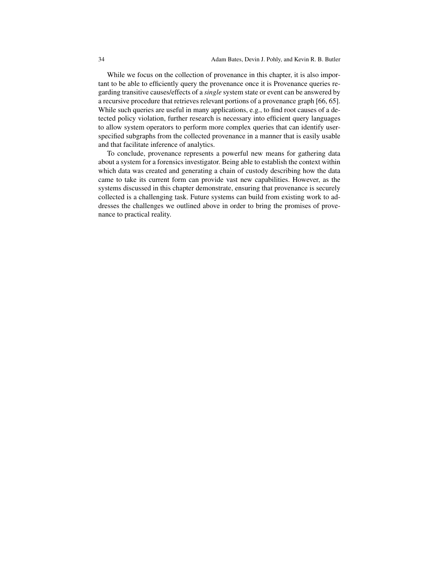While we focus on the collection of provenance in this chapter, it is also important to be able to efficiently query the provenance once it is Provenance queries regarding transitive causes/effects of a *single* system state or event can be answered by a recursive procedure that retrieves relevant portions of a provenance graph [66, 65]. While such queries are useful in many applications, e.g., to find root causes of a detected policy violation, further research is necessary into efficient query languages to allow system operators to perform more complex queries that can identify userspecified subgraphs from the collected provenance in a manner that is easily usable and that facilitate inference of analytics.

To conclude, provenance represents a powerful new means for gathering data about a system for a forensics investigator. Being able to establish the context within which data was created and generating a chain of custody describing how the data came to take its current form can provide vast new capabilities. However, as the systems discussed in this chapter demonstrate, ensuring that provenance is securely collected is a challenging task. Future systems can build from existing work to addresses the challenges we outlined above in order to bring the promises of provenance to practical reality.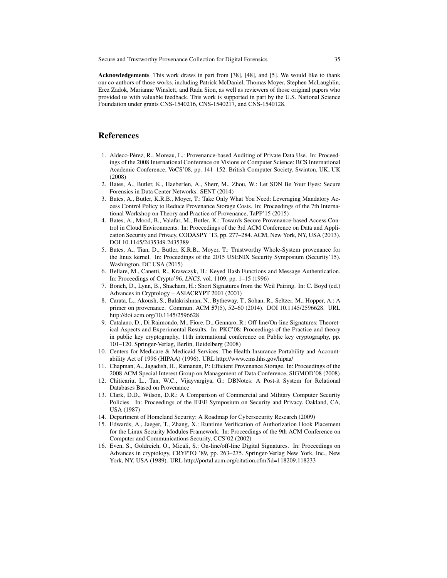Secure and Trustworthy Provenance Collection for Digital Forensics 35

Acknowledgements This work draws in part from [38], [48], and [5]. We would like to thank our co-authors of those works, including Patrick McDaniel, Thomas Moyer, Stephen McLaughlin, Erez Zadok, Marianne Winslett, and Radu Sion, as well as reviewers of those original papers who provided us with valuable feedback. This work is supported in part by the U.S. National Science Foundation under grants CNS-1540216, CNS-1540217, and CNS-1540128.

# References

- 1. Aldeco-Perez, R., Moreau, L.: Provenance-based Auditing of Private Data Use. In: Proceed- ´ ings of the 2008 International Conference on Visions of Computer Science: BCS International Academic Conference, VoCS'08, pp. 141–152. British Computer Society, Swinton, UK, UK (2008)
- 2. Bates, A., Butler, K., Haeberlen, A., Sherr, M., Zhou, W.: Let SDN Be Your Eyes: Secure Forensics in Data Center Networks. SENT (2014)
- 3. Bates, A., Butler, K.R.B., Moyer, T.: Take Only What You Need: Leveraging Mandatory Access Control Policy to Reduce Provenance Storage Costs. In: Proceedings of the 7th International Workshop on Theory and Practice of Provenance, TaPP'15 (2015)
- 4. Bates, A., Mood, B., Valafar, M., Butler, K.: Towards Secure Provenance-based Access Control in Cloud Environments. In: Proceedings of the 3rd ACM Conference on Data and Application Security and Privacy, CODASPY '13, pp. 277–284. ACM, New York, NY, USA (2013). DOI 10.1145/2435349.2435389
- 5. Bates, A., Tian, D., Butler, K.R.B., Moyer, T.: Trustworthy Whole-System provenance for the linux kernel. In: Proceedings of the 2015 USENIX Security Symposium (Security'15). Washington, DC USA (2015)
- 6. Bellare, M., Canetti, R., Krawczyk, H.: Keyed Hash Functions and Message Authentication. In: Proceedings of Crypto'96, *LNCS*, vol. 1109, pp. 1–15 (1996)
- 7. Boneh, D., Lynn, B., Shacham, H.: Short Signatures from the Weil Pairing. In: C. Boyd (ed.) Advances in Cryptology – ASIACRYPT 2001 (2001)
- 8. Carata, L., Akoush, S., Balakrishnan, N., Bytheway, T., Sohan, R., Seltzer, M., Hopper, A.: A primer on provenance. Commun. ACM 57(5), 52–60 (2014). DOI 10.1145/2596628. URL http://doi.acm.org/10.1145/2596628
- 9. Catalano, D., Di Raimondo, M., Fiore, D., Gennaro, R.: Off-line/On-line Signatures: Theoretical Aspects and Experimental Results. In: PKC'08: Proceedings of the Practice and theory in public key cryptography, 11th international conference on Public key cryptography, pp. 101–120. Springer-Verlag, Berlin, Heidelberg (2008)
- 10. Centers for Medicare & Medicaid Services: The Health Insurance Portability and Accountability Act of 1996 (HIPAA) (1996). URL http://www.cms.hhs.gov/hipaa/
- 11. Chapman, A., Jagadish, H., Ramanan, P.: Efficient Provenance Storage. In: Proceedings of the 2008 ACM Special Interest Group on Management of Data Conference, SIGMOD'08 (2008)
- 12. Chiticariu, L., Tan, W.C., Vijayvargiya, G.: DBNotes: A Post-it System for Relational Databases Based on Provenance
- 13. Clark, D.D., Wilson, D.R.: A Comparison of Commercial and Military Computer Security Policies. In: Proceedings of the IEEE Symposium on Security and Privacy. Oakland, CA, USA (1987)
- 14. Department of Homeland Security: A Roadmap for Cybersecurity Research (2009)
- 15. Edwards, A., Jaeger, T., Zhang, X.: Runtime Verification of Authorization Hook Placement for the Linux Security Modules Framework. In: Proceedings of the 9th ACM Conference on Computer and Communications Security, CCS'02 (2002)
- 16. Even, S., Goldreich, O., Micali, S.: On-line/off-line Digital Signatures. In: Proceedings on Advances in cryptology, CRYPTO '89, pp. 263–275. Springer-Verlag New York, Inc., New York, NY, USA (1989). URL http://portal.acm.org/citation.cfm?id=118209.118233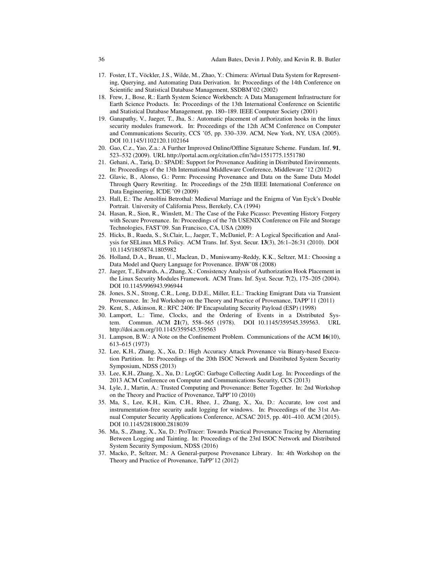- 17. Foster, I.T., Vockler, J.S., Wilde, M., Zhao, Y.: Chimera: AVirtual Data System for Represent- ¨ ing, Querying, and Automating Data Derivation. In: Proceedings of the 14th Conference on Scientific and Statistical Database Management, SSDBM'02 (2002)
- 18. Frew, J., Bose, R.: Earth System Science Workbench: A Data Management Infrastructure for Earth Science Products. In: Proceedings of the 13th International Conference on Scientific and Statistical Database Management, pp. 180–189. IEEE Computer Society (2001)
- 19. Ganapathy, V., Jaeger, T., Jha, S.: Automatic placement of authorization hooks in the linux security modules framework. In: Proceedings of the 12th ACM Conference on Computer and Communications Security, CCS '05, pp. 330–339. ACM, New York, NY, USA (2005). DOI 10.1145/1102120.1102164
- 20. Gao, C.z., Yao, Z.a.: A Further Improved Online/Offline Signature Scheme. Fundam. Inf. 91, 523–532 (2009). URL http://portal.acm.org/citation.cfm?id=1551775.1551780
- 21. Gehani, A., Tariq, D.: SPADE: Support for Provenance Auditing in Distributed Environments. In: Proceedings of the 13th International Middleware Conference, Middleware '12 (2012)
- 22. Glavic, B., Alonso, G.: Perm: Processing Provenance and Data on the Same Data Model Through Query Rewriting. In: Proceedings of the 25th IEEE International Conference on Data Engineering, ICDE '09 (2009)
- 23. Hall, E.: The Arnolfini Betrothal: Medieval Marriage and the Enigma of Van Eyck's Double Portrait. University of California Press, Berekely, CA (1994)
- 24. Hasan, R., Sion, R., Winslett, M.: The Case of the Fake Picasso: Preventing History Forgery with Secure Provenance. In: Proceedings of the 7th USENIX Conference on File and Storage Technologies, FAST'09. San Francisco, CA, USA (2009)
- 25. Hicks, B., Rueda, S., St.Clair, L., Jaeger, T., McDaniel, P.: A Logical Specification and Analysis for SELinux MLS Policy. ACM Trans. Inf. Syst. Secur. 13(3), 26:1–26:31 (2010). DOI 10.1145/1805874.1805982
- 26. Holland, D.A., Bruan, U., Maclean, D., Muniswamy-Reddy, K.K., Seltzer, M.I.: Choosing a Data Model and Query Language for Provenance. IPAW'08 (2008)
- 27. Jaeger, T., Edwards, A., Zhang, X.: Consistency Analysis of Authorization Hook Placement in the Linux Security Modules Framework. ACM Trans. Inf. Syst. Secur. 7(2), 175–205 (2004). DOI 10.1145/996943.996944
- 28. Jones, S.N., Strong, C.R., Long, D.D.E., Miller, E.L.: Tracking Emigrant Data via Transient Provenance. In: 3rd Workshop on the Theory and Practice of Provenance, TAPP'11 (2011)
- 29. Kent, S., Atkinson, R.: RFC 2406: IP Encapsulating Security Payload (ESP) (1998)
- 30. Lamport, L.: Time, Clocks, and the Ordering of Events in a Distributed System. Commun. ACM 21(7), 558–565 (1978). DOI 10.1145/359545.359563. URL http://doi.acm.org/10.1145/359545.359563
- 31. Lampson, B.W.: A Note on the Confinement Problem. Communications of the ACM 16(10), 613–615 (1973)
- 32. Lee, K.H., Zhang, X., Xu, D.: High Accuracy Attack Provenance via Binary-based Execution Partition. In: Proceedings of the 20th ISOC Network and Distributed System Security Symposium, NDSS (2013)
- 33. Lee, K.H., Zhang, X., Xu, D.: LogGC: Garbage Collecting Audit Log. In: Proceedings of the 2013 ACM Conference on Computer and Communications Security, CCS (2013)
- 34. Lyle, J., Martin, A.: Trusted Computing and Provenance: Better Together. In: 2nd Workshop on the Theory and Practice of Provenance, TaPP'10 (2010)
- 35. Ma, S., Lee, K.H., Kim, C.H., Rhee, J., Zhang, X., Xu, D.: Accurate, low cost and instrumentation-free security audit logging for windows. In: Proceedings of the 31st Annual Computer Security Applications Conference, ACSAC 2015, pp. 401–410. ACM (2015). DOI 10.1145/2818000.2818039
- 36. Ma, S., Zhang, X., Xu, D.: ProTracer: Towards Practical Provenance Tracing by Alternating Between Logging and Tainting. In: Proceedings of the 23rd ISOC Network and Distributed System Security Symposium, NDSS (2016)
- 37. Macko, P., Seltzer, M.: A General-purpose Provenance Library. In: 4th Workshop on the Theory and Practice of Provenance, TaPP'12 (2012)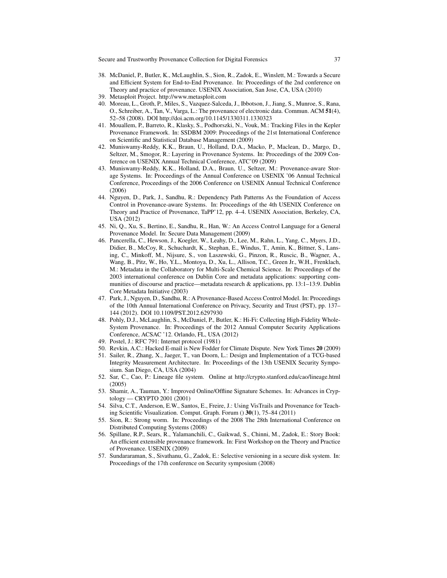- 38. McDaniel, P., Butler, K., McLaughlin, S., Sion, R., Zadok, E., Winslett, M.: Towards a Secure and Efficient System for End-to-End Provenance. In: Proceedings of the 2nd conference on Theory and practice of provenance. USENIX Association, San Jose, CA, USA (2010)
- 39. Metasploit Project. http://www.metasploit.com
- 40. Moreau, L., Groth, P., Miles, S., Vazquez-Salceda, J., Ibbotson, J., Jiang, S., Munroe, S., Rana, O., Schreiber, A., Tan, V., Varga, L.: The provenance of electronic data. Commun. ACM 51(4), 52–58 (2008). DOI http://doi.acm.org/10.1145/1330311.1330323
- 41. Mouallem, P., Barreto, R., Klasky, S., Podhorszki, N., Vouk, M.: Tracking Files in the Kepler Provenance Framework. In: SSDBM 2009: Proceedings of the 21st International Conference on Scientific and Statistical Database Management (2009)
- 42. Muniswamy-Reddy, K.K., Braun, U., Holland, D.A., Macko, P., Maclean, D., Margo, D., Seltzer, M., Smogor, R.: Layering in Provenance Systems. In: Proceedings of the 2009 Conference on USENIX Annual Technical Conference, ATC'09 (2009)
- 43. Muniswamy-Reddy, K.K., Holland, D.A., Braun, U., Seltzer, M.: Provenance-aware Storage Systems. In: Proceedings of the Annual Conference on USENIX '06 Annual Technical Conference, Proceedings of the 2006 Conference on USENIX Annual Technical Conference (2006)
- 44. Nguyen, D., Park, J., Sandhu, R.: Dependency Path Patterns As the Foundation of Access Control in Provenance-aware Systems. In: Proceedings of the 4th USENIX Conference on Theory and Practice of Provenance, TaPP'12, pp. 4–4. USENIX Association, Berkeley, CA, USA (2012)
- 45. Ni, Q., Xu, S., Bertino, E., Sandhu, R., Han, W.: An Access Control Language for a General Provenance Model. In: Secure Data Management (2009)
- 46. Pancerella, C., Hewson, J., Koegler, W., Leahy, D., Lee, M., Rahn, L., Yang, C., Myers, J.D., Didier, B., McCoy, R., Schuchardt, K., Stephan, E., Windus, T., Amin, K., Bittner, S., Lansing, C., Minkoff, M., Nijsure, S., von Laszewski, G., Pinzon, R., Ruscic, B., Wagner, A., Wang, B., Pitz, W., Ho, Y.L., Montoya, D., Xu, L., Allison, T.C., Green Jr., W.H., Frenklach, M.: Metadata in the Collaboratory for Multi-Scale Chemical Science. In: Proceedings of the 2003 international conference on Dublin Core and metadata applications: supporting communities of discourse and practice—metadata research & applications, pp. 13:1–13:9. Dublin Core Metadata Initiative (2003)
- 47. Park, J., Nguyen, D., Sandhu, R.: A Provenance-Based Access Control Model. In: Proceedings of the 10th Annual International Conference on Privacy, Security and Trust (PST), pp. 137– 144 (2012). DOI 10.1109/PST.2012.6297930
- 48. Pohly, D.J., McLaughlin, S., McDaniel, P., Butler, K.: Hi-Fi: Collecting High-Fidelity Whole-System Provenance. In: Proceedings of the 2012 Annual Computer Security Applications Conference, ACSAC '12. Orlando, FL, USA (2012)
- 49. Postel, J.: RFC 791: Internet protocol (1981)
- 50. Revkin, A.C.: Hacked E-mail is New Fodder for Climate Dispute. New York Times 20 (2009)
- 51. Sailer, R., Zhang, X., Jaeger, T., van Doorn, L.: Design and Implementation of a TCG-based Integrity Measurement Architecture. In: Proceedings of the 13th USENIX Security Symposium. San Diego, CA, USA (2004)
- 52. Sar, C., Cao, P.: Lineage file system. Online at http://crypto.stanford.edu/cao/lineage.html (2005)
- 53. Shamir, A., Tauman, Y.: Improved Online/Offline Signature Schemes. In: Advances in Cryptology — CRYPTO 2001 (2001)
- 54. Silva, C.T., Anderson, E.W., Santos, E., Freire, J.: Using VisTrails and Provenance for Teaching Scientific Visualization. Comput. Graph. Forum () 30(1), 75–84 (2011)
- 55. Sion, R.: Strong worm. In: Proceedings of the 2008 The 28th International Conference on Distributed Computing Systems (2008)
- 56. Spillane, R.P., Sears, R., Yalamanchili, C., Gaikwad, S., Chinni, M., Zadok, E.: Story Book: An efficient extensible provenance framework. In: First Workshop on the Theory and Practice of Provenance. USENIX (2009)
- 57. Sundararaman, S., Sivathanu, G., Zadok, E.: Selective versioning in a secure disk system. In: Proceedings of the 17th conference on Security symposium (2008)